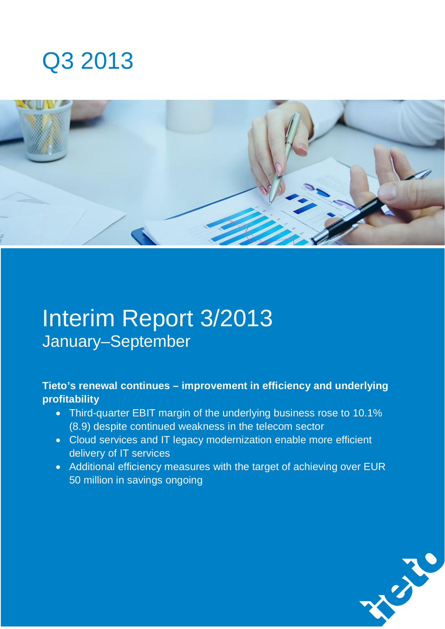# Q3 2013



# Interim Report 3/2013 January–September

### **Tieto's renewal continues – improvement in efficiency and underlying profitability**

- Third-quarter EBIT margin of the underlying business rose to 10.1% (8.9) despite continued weakness in the telecom sector
- Cloud services and IT legacy modernization enable more efficient delivery of IT services
- Additional efficiency measures with the target of achieving over EUR 50 million in savings ongoing

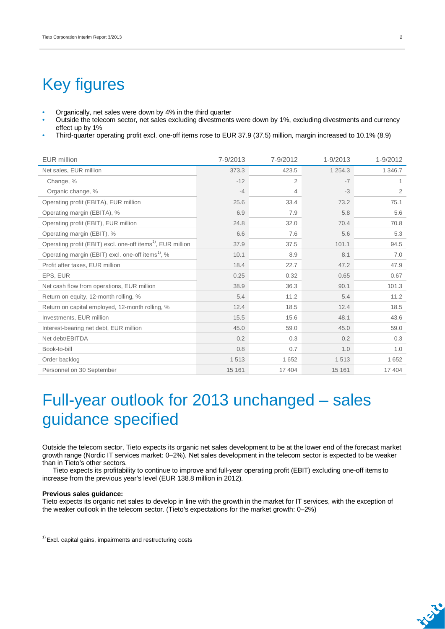## Key figures

- Organically, net sales were down by 4% in the third quarter
- Outside the telecom sector, net sales excluding divestments were down by 1%, excluding divestments and currency effect up by 1%
- Third-quarter operating profit excl. one-off items rose to EUR 37.9 (37.5) million, margin increased to 10.1% (8.9)

| <b>EUR million</b>                                                      | 7-9/2013 | 7-9/2012       | 1-9/2013    | 1-9/2012 |
|-------------------------------------------------------------------------|----------|----------------|-------------|----------|
| Net sales, EUR million                                                  | 373.3    | 423.5          | 1 2 5 4 . 3 | 1 346.7  |
| Change, %                                                               | $-12$    | $\overline{2}$ | $-7$        | 1        |
| Organic change, %                                                       | $-4$     | $\overline{4}$ | $-3$        | 2        |
| Operating profit (EBITA), EUR million                                   | 25.6     | 33.4           | 73.2        | 75.1     |
| Operating margin (EBITA), %                                             | 6.9      | 7.9            | 5.8         | 5.6      |
| Operating profit (EBIT), EUR million                                    | 24.8     | 32.0           | 70.4        | 70.8     |
| Operating margin (EBIT), %                                              | 6.6      | 7.6            | 5.6         | 5.3      |
| Operating profit (EBIT) excl. one-off items <sup>1)</sup> , EUR million | 37.9     | 37.5           | 101.1       | 94.5     |
| Operating margin (EBIT) excl. one-off items <sup>1)</sup> , %           | 10.1     | 8.9            | 8.1         | 7.0      |
| Profit after taxes, EUR million                                         | 18.4     | 22.7           | 47.2        | 47.9     |
| EPS, EUR                                                                | 0.25     | 0.32           | 0.65        | 0.67     |
| Net cash flow from operations, EUR million                              | 38.9     | 36.3           | 90.1        | 101.3    |
| Return on equity, 12-month rolling, %                                   | 5.4      | 11.2           | 5.4         | 11.2     |
| Return on capital employed, 12-month rolling, %                         | 12.4     | 18.5           | 12.4        | 18.5     |
| Investments, EUR million                                                | 15.5     | 15.6           | 48.1        | 43.6     |
| Interest-bearing net debt, EUR million                                  | 45.0     | 59.0           | 45.0        | 59.0     |
| Net debt/EBITDA                                                         | 0.2      | 0.3            | 0.2         | 0.3      |
| Book-to-bill                                                            | 0.8      | 0.7            | 1.0         | 1.0      |
| Order backlog                                                           | 1513     | 1 6 5 2        | 1513        | 1 6 5 2  |
| Personnel on 30 September                                               | 15 161   | 17 404         | 15 161      | 17 404   |

## Full-year outlook for 2013 unchanged – sales guidance specified

Outside the telecom sector, Tieto expects its organic net sales development to be at the lower end of the forecast market growth range (Nordic IT services market: 0–2%). Net sales development in the telecom sector is expected to be weaker than in Tieto's other sectors.

Tieto expects its profitability to continue to improve and full-year operating profit (EBIT) excluding one-off items to increase from the previous year's level (EUR 138.8 million in 2012).

#### **Previous sales guidance:**

Tieto expects its organic net sales to develop in line with the growth in the market for IT services, with the exception of the weaker outlook in the telecom sector. (Tieto's expectations for the market growth: 0–2%)

 $1)$  Excl. capital gains, impairments and restructuring costs

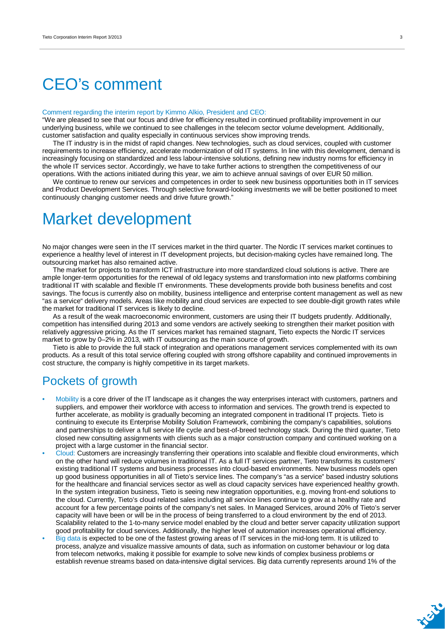## CEO's comment

#### Comment regarding the interim report by Kimmo Alkio, President and CEO:

"We are pleased to see that our focus and drive for efficiency resulted in continued profitability improvement in our underlying business, while we continued to see challenges in the telecom sector volume development. Additionally, customer satisfaction and quality especially in continuous services show improving trends.

The IT industry is in the midst of rapid changes. New technologies, such as cloud services, coupled with customer requirements to increase efficiency, accelerate modernization of old IT systems. In line with this development, demand is increasingly focusing on standardized and less labour-intensive solutions, defining new industry norms for efficiency in the whole IT services sector. Accordingly, we have to take further actions to strengthen the competitiveness of our operations. With the actions initiated during this year, we aim to achieve annual savings of over EUR 50 million.

We continue to renew our services and competences in order to seek new business opportunities both in IT services and Product Development Services. Through selective forward-looking investments we will be better positioned to meet continuously changing customer needs and drive future growth."

### Market development

No major changes were seen in the IT services market in the third quarter. The Nordic IT services market continues to experience a healthy level of interest in IT development projects, but decision-making cycles have remained long. The outsourcing market has also remained active.

The market for projects to transform ICT infrastructure into more standardized cloud solutions is active. There are ample longer-term opportunities for the renewal of old legacy systems and transformation into new platforms combining traditional IT with scalable and flexible IT environments. These developments provide both business benefits and cost savings. The focus is currently also on mobility, business intelligence and enterprise content management as well as new "as a service" delivery models. Areas like mobility and cloud services are expected to see double-digit growth rates while the market for traditional IT services is likely to decline.

As a result of the weak macroeconomic environment, customers are using their IT budgets prudently. Additionally, competition has intensified during 2013 and some vendors are actively seeking to strengthen their market position with relatively aggressive pricing. As the IT services market has remained stagnant, Tieto expects the Nordic IT services market to grow by 0–2% in 2013, with IT outsourcing as the main source of growth.

Tieto is able to provide the full stack of integration and operations management services complemented with its own products. As a result of this total service offering coupled with strong offshore capability and continued improvements in cost structure, the company is highly competitive in its target markets.

### Pockets of growth

- Mobility is a core driver of the IT landscape as it changes the way enterprises interact with customers, partners and suppliers, and empower their workforce with access to information and services. The growth trend is expected to further accelerate, as mobility is gradually becoming an integrated component in traditional IT projects. Tieto is continuing to execute its Enterprise Mobility Solution Framework, combining the company's capabilities, solutions and partnerships to deliver a full service life cycle and best-of-breed technology stack. During the third quarter, Tieto closed new consulting assignments with clients such as a major construction company and continued working on a project with a large customer in the financial sector.
- Cloud: Customers are increasingly transferring their operations into scalable and flexible cloud environments, which on the other hand will reduce volumes in traditional IT. As a full IT services partner, Tieto transforms its customers' existing traditional IT systems and business processes into cloud-based environments. New business models open up good business opportunities in all of Tieto's service lines. The company's "as a service" based industry solutions for the healthcare and financial services sector as well as cloud capacity services have experienced healthy growth. In the system integration business, Tieto is seeing new integration opportunities, e.g. moving front-end solutions to the cloud. Currently, Tieto's cloud related sales including all service lines continue to grow at a healthy rate and account for a few percentage points of the company's net sales. In Managed Services, around 20% of Tieto's server capacity will have been or will be in the process of being transferred to a cloud environment by the end of 2013. Scalability related to the 1-to-many service model enabled by the cloud and better server capacity utilization support good profitability for cloud services. Additionally, the higher level of automation increases operational efficiency.
- Big data is expected to be one of the fastest growing areas of IT services in the mid-long term. It is utilized to process, analyze and visualize massive amounts of data, such as information on customer behaviour or log data from telecom networks, making it possible for example to solve new kinds of complex business problems or establish revenue streams based on data-intensive digital services. Big data currently represents around 1% of the

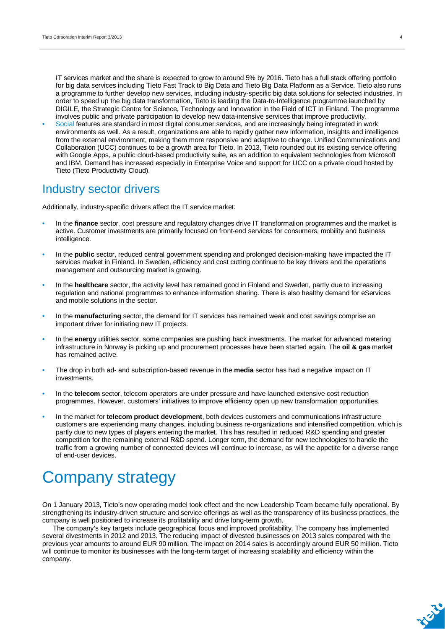IT services market and the share is expected to grow to around 5% by 2016. Tieto has a full stack offering portfolio for big data services including Tieto Fast Track to Big Data and Tieto Big Data Platform as a Service. Tieto also runs a programme to further develop new services, including industry-specific big data solutions for selected industries. In order to speed up the big data transformation, Tieto is leading the Data-to-Intelligence programme launched by DIGILE, the Strategic Centre for Science, Technology and Innovation in the Field of ICT in Finland. The programme involves public and private participation to develop new data-intensive services that improve productivity.

• Social features are standard in most digital consumer services, and are increasingly being integrated in work environments as well. As a result, organizations are able to rapidly gather new information, insights and intelligence from the external environment, making them more responsive and adaptive to change. Unified Communications and Collaboration (UCC) continues to be a growth area for Tieto. In 2013, Tieto rounded out its existing service offering with Google Apps, a public cloud-based productivity suite, as an addition to equivalent technologies from Microsoft and IBM. Demand has increased especially in Enterprise Voice and support for UCC on a private cloud hosted by Tieto (Tieto Productivity Cloud).

### Industry sector drivers

Additionally, industry-specific drivers affect the IT service market:

- In the **finance** sector, cost pressure and regulatory changes drive IT transformation programmes and the market is active. Customer investments are primarily focused on front-end services for consumers, mobility and business intelligence.
- In the **public** sector, reduced central government spending and prolonged decision-making have impacted the IT services market in Finland. In Sweden, efficiency and cost cutting continue to be key drivers and the operations management and outsourcing market is growing.
- In the **healthcare** sector, the activity level has remained good in Finland and Sweden, partly due to increasing regulation and national programmes to enhance information sharing. There is also healthy demand for eServices and mobile solutions in the sector.
- In the **manufacturing** sector, the demand for IT services has remained weak and cost savings comprise an important driver for initiating new IT projects.
- In the **energy** utilities sector, some companies are pushing back investments. The market for advanced metering infrastructure in Norway is picking up and procurement processes have been started again. The **oil & gas** market has remained active.
- The drop in both ad- and subscription-based revenue in the **media** sector has had a negative impact on IT investments.
- In the **telecom** sector, telecom operators are under pressure and have launched extensive cost reduction programmes. However, customers' initiatives to improve efficiency open up new transformation opportunities.
- In the market for **telecom product development**, both devices customers and communications infrastructure customers are experiencing many changes, including business re-organizations and intensified competition, which is partly due to new types of players entering the market. This has resulted in reduced R&D spending and greater competition for the remaining external R&D spend. Longer term, the demand for new technologies to handle the traffic from a growing number of connected devices will continue to increase, as will the appetite for a diverse range of end-user devices.

## Company strategy

On 1 January 2013, Tieto's new operating model took effect and the new Leadership Team became fully operational. By strengthening its industry-driven structure and service offerings as well as the transparency of its business practices, the company is well positioned to increase its profitability and drive long-term growth.

The company's key targets include geographical focus and improved profitability. The company has implemented several divestments in 2012 and 2013. The reducing impact of divested businesses on 2013 sales compared with the previous year amounts to around EUR 90 million. The impact on 2014 sales is accordingly around EUR 50 million. Tieto will continue to monitor its businesses with the long-term target of increasing scalability and efficiency within the company.

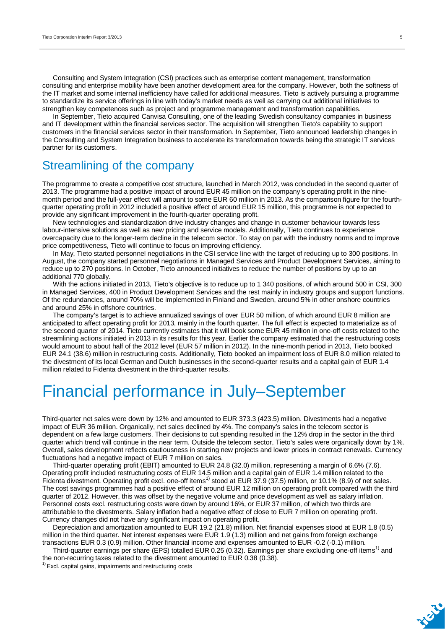Consulting and System Integration (CSI) practices such as enterprise content management, transformation consulting and enterprise mobility have been another development area for the company. However, both the softness of the IT market and some internal inefficiency have called for additional measures. Tieto is actively pursuing a programme to standardize its service offerings in line with today's market needs as well as carrying out additional initiatives to strengthen key competences such as project and programme management and transformation capabilities.

In September, Tieto acquired Canvisa Consulting, one of the leading Swedish consultancy companies in business and IT development within the financial services sector. The acquisition will strengthen Tieto's capability to support customers in the financial services sector in their transformation. In September, Tieto announced leadership changes in the Consulting and System Integration business to accelerate its transformation towards being the strategic IT services partner for its customers.

### Streamlining of the company

The programme to create a competitive cost structure, launched in March 2012, was concluded in the second quarter of 2013. The programme had a positive impact of around EUR 45 million on the company's operating profit in the ninemonth period and the full-year effect will amount to some EUR 60 million in 2013. As the comparison figure for the fourthquarter operating profit in 2012 included a positive effect of around EUR 15 million, this programme is not expected to provide any significant improvement in the fourth-quarter operating profit.

New technologies and standardization drive industry changes and change in customer behaviour towards less labour-intensive solutions as well as new pricing and service models. Additionally, Tieto continues to experience overcapacity due to the longer-term decline in the telecom sector. To stay on par with the industry norms and to improve price competitiveness, Tieto will continue to focus on improving efficiency.

In May, Tieto started personnel negotiations in the CSI service line with the target of reducing up to 300 positions. In August, the company started personnel negotiations in Managed Services and Product Development Services, aiming to reduce up to 270 positions. In October, Tieto announced initiatives to reduce the number of positions by up to an additional 770 globally.

With the actions initiated in 2013, Tieto's objective is to reduce up to 1 340 positions, of which around 500 in CSI, 300 in Managed Services, 400 in Product Development Services and the rest mainly in industry groups and support functions. Of the redundancies, around 70% will be implemented in Finland and Sweden, around 5% in other onshore countries and around 25% in offshore countries.

The company's target is to achieve annualized savings of over EUR 50 million, of which around EUR 8 million are anticipated to affect operating profit for 2013, mainly in the fourth quarter. The full effect is expected to materialize as of the second quarter of 2014. Tieto currently estimates that it will book some EUR 45 million in one-off costs related to the streamlining actions initiated in 2013 in its results for this year. Earlier the company estimated that the restructuring costs would amount to about half of the 2012 level (EUR 57 million in 2012). In the nine-month period in 2013, Tieto booked EUR 24.1 (38.6) million in restructuring costs. Additionally, Tieto booked an impairment loss of EUR 8.0 million related to the divestment of its local German and Dutch businesses in the second-quarter results and a capital gain of EUR 1.4 million related to Fidenta divestment in the third-quarter results.

## Financial performance in July–September

Third-quarter net sales were down by 12% and amounted to EUR 373.3 (423.5) million. Divestments had a negative impact of EUR 36 million. Organically, net sales declined by 4%. The company's sales in the telecom sector is dependent on a few large customers. Their decisions to cut spending resulted in the 12% drop in the sector in the third quarter which trend will continue in the near term. Outside the telecom sector, Tieto's sales were organically down by 1%. Overall, sales development reflects cautiousness in starting new projects and lower prices in contract renewals. Currency fluctuations had a negative impact of EUR 7 million on sales.

Third-quarter operating profit (EBIT) amounted to EUR 24.8 (32.0) million, representing a margin of 6.6% (7.6). Operating profit included restructuring costs of EUR 14.5 million and a capital gain of EUR 1.4 million related to the Fidenta divestment. Operating profit excl. one-off items<sup>1)</sup> stood at EUR 37.9 (37.5) million, or 10.1% (8.9) of net sales. The cost savings programmes had a positive effect of around EUR 12 million on operating profit compared with the third quarter of 2012. However, this was offset by the negative volume and price development as well as salary inflation. Personnel costs excl. restructuring costs were down by around 16%, or EUR 37 million, of which two thirds are attributable to the divestments. Salary inflation had a negative effect of close to EUR 7 million on operating profit. Currency changes did not have any significant impact on operating profit.

Depreciation and amortization amounted to EUR 19.2 (21.8) million. Net financial expenses stood at EUR 1.8 (0.5) million in the third quarter. Net interest expenses were EUR 1.9 (1.3) million and net gains from foreign exchange transactions EUR 0.3 (0.9) million. Other financial income and expenses amounted to EUR -0.2 (-0.1) million.

Third-quarter earnings per share (EPS) totalled EUR 0.25 (0.32). Earnings per share excluding one-off items<sup>1)</sup> and the non-recurring taxes related to the divestment amounted to EUR 0.38 (0.38).

 $<sup>1</sup>$  Excl. capital gains, impairments and restructuring costs</sup>

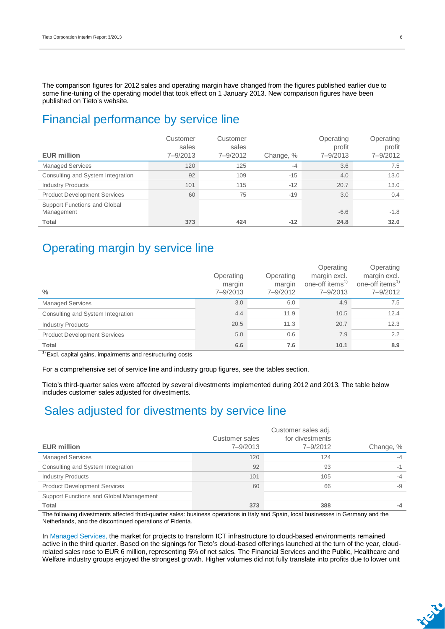The comparison figures for 2012 sales and operating margin have changed from the figures published earlier due to some fine-tuning of the operating model that took effect on 1 January 2013. New comparison figures have been published on Tieto's website.

### Financial performance by service line

| <b>EUR million</b>                         | Customer<br>sales<br>7-9/2013 | Customer<br>sales<br>7-9/2012 | Change, % | Operating<br>profit<br>7-9/2013 | Operating<br>profit<br>7-9/2012 |
|--------------------------------------------|-------------------------------|-------------------------------|-----------|---------------------------------|---------------------------------|
| <b>Managed Services</b>                    | 120                           | 125                           | $-4$      | 3.6                             | 7.5                             |
| Consulting and System Integration          | 92                            | 109                           | $-15$     | 4.0                             | 13.0                            |
| <b>Industry Products</b>                   | 101                           | 115                           | $-12$     | 20.7                            | 13.0                            |
| <b>Product Development Services</b>        | 60                            | 75                            | $-19$     | 3.0                             | 0.4                             |
| Support Functions and Global<br>Management |                               |                               |           | $-6.6$                          | $-1.8$                          |
| Total                                      | 373                           | 424                           | $-12$     | 24.8                            | 32.0                            |

### Operating margin by service line

| $\frac{0}{0}$                       | Operating<br>margin<br>$7 - 9/2013$ | Operating<br>margin<br>7-9/2012 | Operating<br>margin excl.<br>one-off items <sup>1)</sup><br>7-9/2013 | Operating<br>margin excl.<br>one-off items <sup>1)</sup><br>7-9/2012 |
|-------------------------------------|-------------------------------------|---------------------------------|----------------------------------------------------------------------|----------------------------------------------------------------------|
| <b>Managed Services</b>             | 3.0                                 | 6.0                             | 4.9                                                                  | 7.5                                                                  |
| Consulting and System Integration   | 4.4                                 | 11.9                            | 10.5                                                                 | 12.4                                                                 |
| <b>Industry Products</b>            | 20.5                                | 11.3                            | 20.7                                                                 | 12.3                                                                 |
| <b>Product Development Services</b> | 5.0                                 | 0.6                             | 7.9                                                                  | 2.2                                                                  |
| Total                               | 6.6                                 | 7.6                             | 10.1                                                                 | 8.9                                                                  |

<sup>1)</sup> Excl. capital gains, impairments and restructuring costs

For a comprehensive set of service line and industry group figures, see the tables section.

Tieto's third-quarter sales were affected by several divestments implemented during 2012 and 2013. The table below includes customer sales adjusted for divestments.

### Sales adjusted for divestments by service line

| <b>EUR million</b>                      | Customer sales<br>7-9/2013 | Customer sales adj.<br>for divestments<br>7-9/2012 | Change, % |
|-----------------------------------------|----------------------------|----------------------------------------------------|-----------|
|                                         |                            |                                                    |           |
| <b>Managed Services</b>                 | 120                        | 124                                                | $-4$      |
| Consulting and System Integration       | 92                         | 93                                                 | $-1$      |
| <b>Industry Products</b>                | 101                        | 105                                                | $-4$      |
| <b>Product Development Services</b>     | 60                         | 66                                                 | -9        |
| Support Functions and Global Management |                            |                                                    |           |
| <b>Total</b>                            | 373                        | 388                                                | -4        |

The following divestments affected third-quarter sales: business operations in Italy and Spain, local businesses in Germany and the Netherlands, and the discontinued operations of Fidenta.

In Managed Services, the market for projects to transform ICT infrastructure to cloud-based environments remained active in the third quarter. Based on the signings for Tieto's cloud-based offerings launched at the turn of the year, cloudrelated sales rose to EUR 6 million, representing 5% of net sales. The Financial Services and the Public, Healthcare and Welfare industry groups enjoyed the strongest growth. Higher volumes did not fully translate into profits due to lower unit

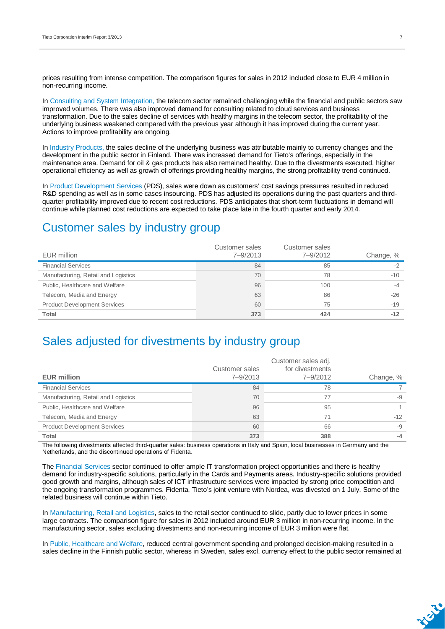prices resulting from intense competition. The comparison figures for sales in 2012 included close to EUR 4 million in non-recurring income.

In Consulting and System Integration, the telecom sector remained challenging while the financial and public sectors saw improved volumes. There was also improved demand for consulting related to cloud services and business transformation. Due to the sales decline of services with healthy margins in the telecom sector, the profitability of the underlying business weakened compared with the previous year although it has improved during the current year. Actions to improve profitability are ongoing.

In Industry Products, the sales decline of the underlying business was attributable mainly to currency changes and the development in the public sector in Finland. There was increased demand for Tieto's offerings, especially in the maintenance area. Demand for oil & gas products has also remained healthy. Due to the divestments executed, higher operational efficiency as well as growth of offerings providing healthy margins, the strong profitability trend continued.

In Product Development Services (PDS), sales were down as customers' cost savings pressures resulted in reduced R&D spending as well as in some cases insourcing. PDS has adjusted its operations during the past quarters and thirdquarter profitability improved due to recent cost reductions. PDS anticipates that short-term fluctuations in demand will continue while planned cost reductions are expected to take place late in the fourth quarter and early 2014.

### Customer sales by industry group

| EUR million                         | Customer sales<br>7-9/2013 | Customer sales<br>7-9/2012 | Change, % |
|-------------------------------------|----------------------------|----------------------------|-----------|
| <b>Financial Services</b>           | 84                         | 85                         |           |
| Manufacturing, Retail and Logistics | 70                         | 78                         | $-10$     |
| Public, Healthcare and Welfare      | 96                         | 100                        | -4        |
| Telecom, Media and Energy           | 63                         | 86                         | $-26$     |
| <b>Product Development Services</b> | 60                         | 75                         | $-19$     |
| Total                               | 373                        | 424                        | $-12$     |

### Sales adjusted for divestments by industry group

| <b>EUR million</b>                  | Customer sales<br>7-9/2013 | Customer sales adj.<br>for divestments<br>7-9/2012 | Change, % |
|-------------------------------------|----------------------------|----------------------------------------------------|-----------|
|                                     |                            |                                                    |           |
| <b>Financial Services</b>           | 84                         | 78                                                 |           |
| Manufacturing, Retail and Logistics | 70                         | 77                                                 | -9        |
| Public, Healthcare and Welfare      | 96                         | 95                                                 |           |
| Telecom, Media and Energy           | 63                         | 71                                                 | $-12$     |
| <b>Product Development Services</b> | 60                         | 66                                                 | -9        |
| Total                               | 373                        | 388                                                | -4        |

The following divestments affected third-quarter sales: business operations in Italy and Spain, local businesses in Germany and the Netherlands, and the discontinued operations of Fidenta.

The Financial Services sector continued to offer ample IT transformation project opportunities and there is healthy demand for industry-specific solutions, particularly in the Cards and Payments areas. Industry-specific solutions provided good growth and margins, although sales of ICT infrastructure services were impacted by strong price competition and the ongoing transformation programmes. Fidenta, Tieto's joint venture with Nordea, was divested on 1 July. Some of the related business will continue within Tieto.

In Manufacturing, Retail and Logistics, sales to the retail sector continued to slide, partly due to lower prices in some large contracts. The comparison figure for sales in 2012 included around EUR 3 million in non-recurring income. In the manufacturing sector, sales excluding divestments and non-recurring income of EUR 3 million were flat.

In Public, Healthcare and Welfare, reduced central government spending and prolonged decision-making resulted in a sales decline in the Finnish public sector, whereas in Sweden, sales excl. currency effect to the public sector remained at

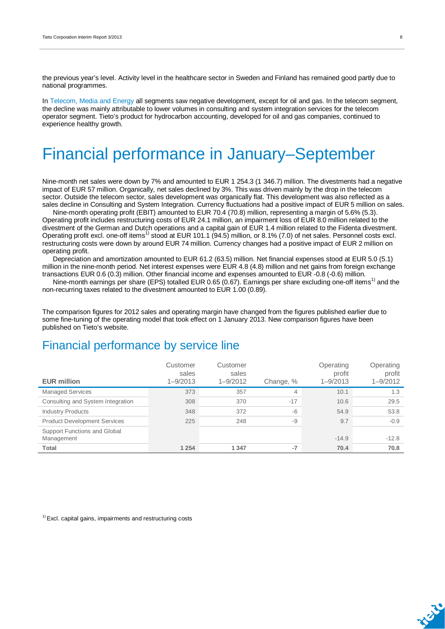the previous year's level. Activity level in the healthcare sector in Sweden and Finland has remained good partly due to national programmes.

In Telecom, Media and Energy all segments saw negative development, except for oil and gas. In the telecom segment, the decline was mainly attributable to lower volumes in consulting and system integration services for the telecom operator segment. Tieto's product for hydrocarbon accounting, developed for oil and gas companies, continued to experience healthy growth.

## Financial performance in January–September

Nine-month net sales were down by 7% and amounted to EUR 1 254.3 (1 346.7) million. The divestments had a negative impact of EUR 57 million. Organically, net sales declined by 3%. This was driven mainly by the drop in the telecom sector. Outside the telecom sector, sales development was organically flat. This development was also reflected as a sales decline in Consulting and System Integration. Currency fluctuations had a positive impact of EUR 5 million on sales.

Nine-month operating profit (EBIT) amounted to EUR 70.4 (70.8) million, representing a margin of 5.6% (5.3). Operating profit includes restructuring costs of EUR 24.1 million, an impairment loss of EUR 8.0 million related to the divestment of the German and Dutch operations and a capital gain of EUR 1.4 million related to the Fidenta divestment. Operating profit excl. one-off items<sup>1)</sup> stood at EUR 101.1 (94.5) million, or 8.1% (7.0) of net sales. Personnel costs excl. restructuring costs were down by around EUR 74 million. Currency changes had a positive impact of EUR 2 million on operating profit.

Depreciation and amortization amounted to EUR 61.2 (63.5) million. Net financial expenses stood at EUR 5.0 (5.1) million in the nine-month period. Net interest expenses were EUR 4.8 (4.8) million and net gains from foreign exchange transactions EUR 0.6 (0.3) million. Other financial income and expenses amounted to EUR -0.8 (-0.6) million.

Nine-month earnings per share (EPS) totalled EUR 0.65 (0.67). Earnings per share excluding one-off items<sup>1)</sup> and the non-recurring taxes related to the divestment amounted to EUR 1.00 (0.89).

The comparison figures for 2012 sales and operating margin have changed from the figures published earlier due to some fine-tuning of the operating model that took effect on 1 January 2013. New comparison figures have been published on Tieto's website.

### Financial performance by service line

| <b>EUR million</b>                         | Customer<br>sales<br>$1 - 9/2013$ | Customer<br>sales<br>$1 - 9/2012$ | Change, % | Operating<br>profit<br>$1 - 9/2013$ | Operating<br>profit<br>$1 - 9/2012$ |
|--------------------------------------------|-----------------------------------|-----------------------------------|-----------|-------------------------------------|-------------------------------------|
| <b>Managed Services</b>                    | 373                               | 357                               | 4         | 10.1                                | 1.3                                 |
| Consulting and System Integration          | 308                               | 370                               | $-17$     | 10.6                                | 29.5                                |
| <b>Industry Products</b>                   | 348                               | 372                               | $-6$      | 54.9                                | 53.8                                |
| <b>Product Development Services</b>        | 225                               | 248                               | $-9$      | 9.7                                 | $-0.9$                              |
| Support Functions and Global<br>Management |                                   |                                   |           | $-14.9$                             | $-12.8$                             |
| Total                                      | 1 2 5 4                           | 1 3 4 7                           | $-7$      | 70.4                                | 70.8                                |

 $1)$  Excl. capital gains, impairments and restructuring costs

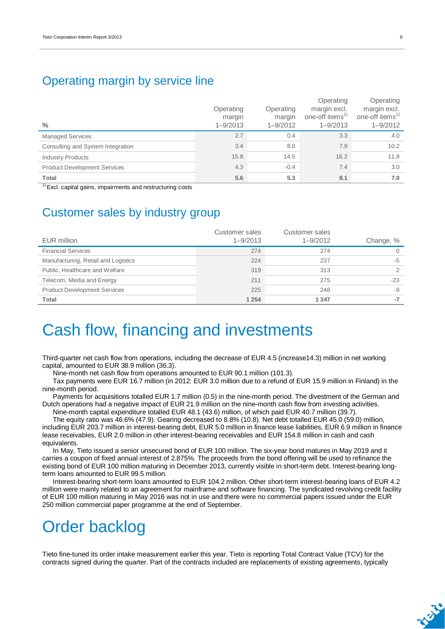### Operating margin by service line

| $\frac{0}{0}$                       | Operating<br>margin<br>$1 - 9/2013$ | Operating<br>margin<br>$1 - 9/2012$ | Operating<br>margin excl.<br>one-off items <sup>1)</sup><br>$1 - 9/2013$ | Operating<br>margin excl.<br>one-off items <sup>1)</sup><br>$1 - 9/2012$ |
|-------------------------------------|-------------------------------------|-------------------------------------|--------------------------------------------------------------------------|--------------------------------------------------------------------------|
| <b>Managed Services</b>             | 2.7                                 | 0.4                                 | 3.3                                                                      | 4.0                                                                      |
| Consulting and System Integration   | 3.4                                 | 8.0                                 | 7.9                                                                      | 10.2                                                                     |
| <b>Industry Products</b>            | 15.8                                | 14.5                                | 16.2                                                                     | 11.8                                                                     |
| <b>Product Development Services</b> | 4.3                                 | $-0.4$                              | 7.4                                                                      | 3.0                                                                      |
| <b>Total</b>                        | 5.6                                 | 5.3                                 | 8.1                                                                      | 7.0                                                                      |

 $1)$  Excl. capital gains, impairments and restructuring costs

### Customer sales by industry group

| EUR million                         | Customer sales<br>$1 - 9/2013$ | Customer sales<br>$1 - 9/2012$ | Change, % |
|-------------------------------------|--------------------------------|--------------------------------|-----------|
| <b>Financial Services</b>           | 274                            | 274                            | 0         |
| Manufacturing, Retail and Logistics | 224                            | 237                            | $-5$      |
| Public, Healthcare and Welfare      | 319                            | 313                            | っ         |
| Telecom, Media and Energy           | 211                            | 275                            | $-23$     |
| <b>Product Development Services</b> | 225                            | 248                            | -9        |
| Total                               | 1 2 5 4                        | 1 3 4 7                        | $-7$      |

## Cash flow, financing and investments

Third-quarter net cash flow from operations, including the decrease of EUR 4.5 (increase14.3) million in net working capital, amounted to EUR 38.9 million (36.3).

Nine-month net cash flow from operations amounted to EUR 90.1 million (101.3).

Tax payments were EUR 16.7 million (in 2012: EUR 3.0 million due to a refund of EUR 15.9 million in Finland) in the nine-month period.

Payments for acquisitions totalled EUR 1.7 million (0.5) in the nine-month period. The divestment of the German and Dutch operations had a negative impact of EUR 21.9 million on the nine-month cash flow from investing activities.

Nine-month capital expenditure totalled EUR 48.1 (43.6) million, of which paid EUR 40.7 million (39.7). The equity ratio was 46.6% (47.9). Gearing decreased to 8.8% (10.8). Net debt totalled EUR 45.0 (59.0) million,

including EUR 203.7 million in interest-bearing debt, EUR 5.0 million in finance lease liabilities, EUR 6.9 million in finance lease receivables, EUR 2.0 million in other interest-bearing receivables and EUR 154.8 million in cash and cash equivalents.

In May, Tieto issued a senior unsecured bond of EUR 100 million. The six-year bond matures in May 2019 and it carries a coupon of fixed annual interest of 2.875%. The proceeds from the bond offering will be used to refinance the existing bond of EUR 100 million maturing in December 2013, currently visible in short-term debt. Interest-bearing longterm loans amounted to EUR 99.5 million.

Interest-bearing short-term loans amounted to EUR 104.2 million. Other short-term interest-bearing loans of EUR 4.2 million were mainly related to an agreement for mainframe and software financing. The syndicated revolving credit facility of EUR 100 million maturing in May 2016 was not in use and there were no commercial papers issued under the EUR 250 million commercial paper programme at the end of September.

## Order backlog

Tieto fine-tuned its order intake measurement earlier this year. Tieto is reporting Total Contract Value (TCV) for the contracts signed during the quarter. Part of the contracts included are replacements of existing agreements, typically

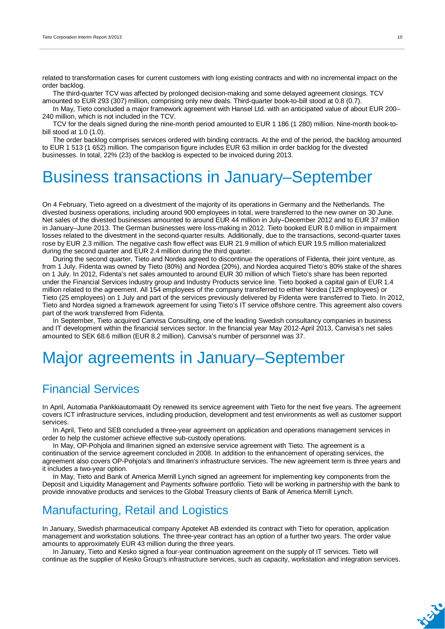related to transformation cases for current customers with long existing contracts and with no incremental impact on the order backlog.

The third-quarter TCV was affected by prolonged decision-making and some delayed agreement closings. TCV amounted to EUR 293 (307) million, comprising only new deals. Third-quarter book-to-bill stood at 0.8 (0.7).

In May, Tieto concluded a major framework agreement with Hansel Ltd. with an anticipated value of about EUR 200– 240 million, which is not included in the TCV.

TCV for the deals signed during the nine-month period amounted to EUR 1 186 (1 280) million. Nine-month book-tobill stood at 1.0 (1.0).

The order backlog comprises services ordered with binding contracts. At the end of the period, the backlog amounted to EUR 1 513 (1 652) million. The comparison figure includes EUR 63 million in order backlog for the divested businesses. In total, 22% (23) of the backlog is expected to be invoiced during 2013.

## Business transactions in January–September

On 4 February, Tieto agreed on a divestment of the majority of its operations in Germany and the Netherlands. The divested business operations, including around 900 employees in total, were transferred to the new owner on 30 June. Net sales of the divested businesses amounted to around EUR 44 million in July–December 2012 and to EUR 37 million in January–June 2013. The German businesses were loss-making in 2012. Tieto booked EUR 8.0 million in impairment losses related to the divestment in the second-quarter results. Additionally, due to the transactions, second-quarter taxes rose by EUR 2.3 million. The negative cash flow effect was EUR 21.9 million of which EUR 19.5 million materialized during the second quarter and EUR 2.4 million during the third quarter.

During the second quarter, Tieto and Nordea agreed to discontinue the operations of Fidenta, their joint venture, as from 1 July. Fidenta was owned by Tieto (80%) and Nordea (20%), and Nordea acquired Tieto's 80% stake of the shares on 1 July. In 2012, Fidenta's net sales amounted to around EUR 30 million of which Tieto's share has been reported under the Financial Services industry group and Industry Products service line. Tieto booked a capital gain of EUR 1.4 million related to the agreement. All 154 employees of the company transferred to either Nordea (129 employees) or Tieto (25 employees) on 1 July and part of the services previously delivered by Fidenta were transferred to Tieto. In 2012, Tieto and Nordea signed a framework agreement for using Tieto's IT service offshore centre. This agreement also covers part of the work transferred from Fidenta.

In September, Tieto acquired Canvisa Consulting, one of the leading Swedish consultancy companies in business and IT development within the financial services sector. In the financial year May 2012-April 2013, Canvisa's net sales amounted to SEK 68.6 million (EUR 8.2 million). Canvisa's number of personnel was 37.

### Major agreements in January–September

### Financial Services

In April, Automatia Pankkiautomaatit Oy renewed its service agreement with Tieto for the next five years. The agreement covers ICT infrastructure services, including production, development and test environments as well as customer support services.

In April, Tieto and SEB concluded a three-year agreement on application and operations management services in order to help the customer achieve effective sub-custody operations.

In May, OP-Pohjola and Ilmarinen signed an extensive service agreement with Tieto. The agreement is a continuation of the service agreement concluded in 2008. In addition to the enhancement of operating services, the agreement also covers OP-Pohjola's and Ilmarinen's infrastructure services. The new agreement term is three years and it includes a two-year option.

In May, Tieto and Bank of America Merrill Lynch signed an agreement for implementing key components from the Deposit and Liquidity Management and Payments software portfolio. Tieto will be working in partnership with the bank to provide innovative products and services to the Global Treasury clients of Bank of America Merrill Lynch.

### Manufacturing, Retail and Logistics

In January, Swedish pharmaceutical company Apoteket AB extended its contract with Tieto for operation, application management and workstation solutions. The three-year contract has an option of a further two years. The order value amounts to approximately EUR 43 million during the three years.

In January, Tieto and Kesko signed a four-year continuation agreement on the supply of IT services. Tieto will continue as the supplier of Kesko Group's infrastructure services, such as capacity, workstation and integration services.

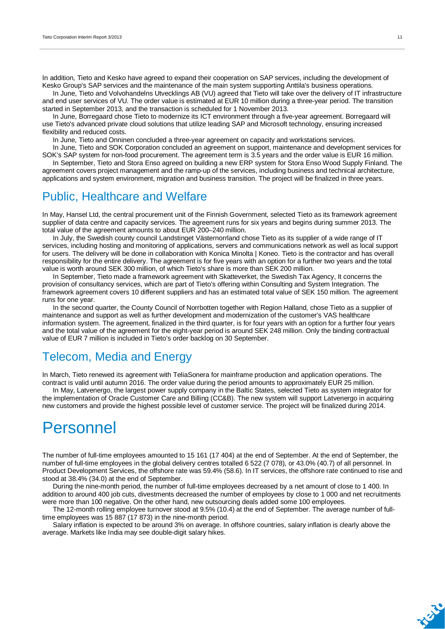In addition, Tieto and Kesko have agreed to expand their cooperation on SAP services, including the development of Kesko Group's SAP services and the maintenance of the main system supporting Anttila's business operations.

In June, Tieto and Volvohandelns Utvecklings AB (VU) agreed that Tieto will take over the delivery of IT infrastructure and end user services of VU. The order value is estimated at EUR 10 million during a three-year period. The transition started in September 2013, and the transaction is scheduled for 1 November 2013.

In June, Borregaard chose Tieto to modernize its ICT environment through a five-year agreement. Borregaard will use Tieto's advanced private cloud solutions that utilize leading SAP and Microsoft technology, ensuring increased flexibility and reduced costs.

In June, Tieto and Onninen concluded a three-year agreement on capacity and workstations services.

In June, Tieto and SOK Corporation concluded an agreement on support, maintenance and development services for SOK's SAP system for non-food procurement. The agreement term is 3.5 years and the order value is EUR 16 million. In September, Tieto and Stora Enso agreed on building a new ERP system for Stora Enso Wood Supply Finland. The

agreement covers project management and the ramp-up of the services, including business and technical architecture, applications and system environment, migration and business transition. The project will be finalized in three years.

### Public, Healthcare and Welfare

In May, Hansel Ltd, the central procurement unit of the Finnish Government, selected Tieto as its framework agreement supplier of data centre and capacity services. The agreement runs for six years and begins during summer 2013. The total value of the agreement amounts to about EUR 200–240 million.

In July, the Swedish county council Landstinget Västernorrland chose Tieto as its supplier of a wide range of IT services, including hosting and monitoring of applications, servers and communications network as well as local support for users. The delivery will be done in collaboration with Konica Minolta | Koneo. Tieto is the contractor and has overall responsibility for the entire delivery. The agreement is for five years with an option for a further two years and the total value is worth around SEK 300 million, of which Tieto's share is more than SEK 200 million.

In September, Tieto made a framework agreement with Skatteverket, the Swedish Tax Agency, It concerns the provision of consultancy services, which are part of Tieto's offering within Consulting and System Integration. The framework agreement covers 10 different suppliers and has an estimated total value of SEK 150 million. The agreement runs for one year.

In the second quarter, the County Council of Norrbotten together with Region Halland, chose Tieto as a supplier of maintenance and support as well as further development and modernization of the customer's VAS healthcare information system. The agreement, finalized in the third quarter, is for four years with an option for a further four years and the total value of the agreement for the eight-year period is around SEK 248 million. Only the binding contractual value of EUR 7 million is included in Tieto's order backlog on 30 September.

### Telecom, Media and Energy

In March, Tieto renewed its agreement with TeliaSonera for mainframe production and application operations. The contract is valid until autumn 2016. The order value during the period amounts to approximately EUR 25 million.

In May, Latvenergo, the largest power supply company in the Baltic States, selected Tieto as system integrator for the implementation of Oracle Customer Care and Billing (CC&B). The new system will support Latvenergo in acquiring new customers and provide the highest possible level of customer service. The project will be finalized during 2014.

### Personnel

The number of full-time employees amounted to 15 161 (17 404) at the end of September. At the end of September, the number of full-time employees in the global delivery centres totalled 6 522 (7 078), or 43.0% (40.7) of all personnel. In Product Development Services, the offshore rate was 59.4% (58.6). In IT services, the offshore rate continued to rise and stood at 38.4% (34.0) at the end of September.

During the nine-month period, the number of full-time employees decreased by a net amount of close to 1 400. In addition to around 400 job cuts, divestments decreased the number of employees by close to 1 000 and net recruitments were more than 100 negative. On the other hand, new outsourcing deals added some 100 employees.

The 12-month rolling employee turnover stood at 9.5% (10.4) at the end of September. The average number of fulltime employees was 15 887 (17 873) in the nine-month period.

Salary inflation is expected to be around 3% on average. In offshore countries, salary inflation is clearly above the average. Markets like India may see double-digit salary hikes.

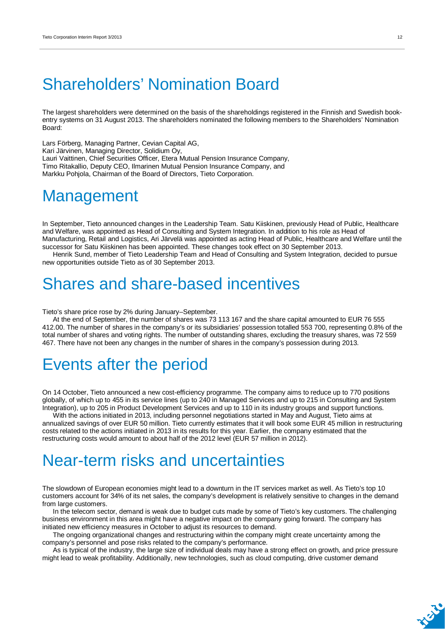## Shareholders' Nomination Board

The largest shareholders were determined on the basis of the shareholdings registered in the Finnish and Swedish bookentry systems on 31 August 2013. The shareholders nominated the following members to the Shareholders' Nomination Board:

Lars Förberg, Managing Partner, Cevian Capital AG, Kari Järvinen, Managing Director, Solidium Oy, Lauri Vaittinen, Chief Securities Officer, Etera Mutual Pension Insurance Company, Timo Ritakallio, Deputy CEO, Ilmarinen Mutual Pension Insurance Company, and Markku Pohjola, Chairman of the Board of Directors, Tieto Corporation.

### **Management**

In September, Tieto announced changes in the Leadership Team. Satu Kiiskinen, previously Head of Public, Healthcare and Welfare, was appointed as Head of Consulting and System Integration. In addition to his role as Head of Manufacturing, Retail and Logistics, Ari Järvelä was appointed as acting Head of Public, Healthcare and Welfare until the successor for Satu Kiiskinen has been appointed. These changes took effect on 30 September 2013.

Henrik Sund, member of Tieto Leadership Team and Head of Consulting and System Integration, decided to pursue new opportunities outside Tieto as of 30 September 2013.

## Shares and share-based incentives

Tieto's share price rose by 2% during January–September.

At the end of September, the number of shares was 73 113 167 and the share capital amounted to EUR 76 555 412.00. The number of shares in the company's or its subsidiaries' possession totalled 553 700, representing 0.8% of the total number of shares and voting rights. The number of outstanding shares, excluding the treasury shares, was 72 559 467. There have not been any changes in the number of shares in the company's possession during 2013.

## Events after the period

On 14 October, Tieto announced a new cost-efficiency programme. The company aims to reduce up to 770 positions globally, of which up to 455 in its service lines (up to 240 in Managed Services and up to 215 in Consulting and System Integration), up to 205 in Product Development Services and up to 110 in its industry groups and support functions.

With the actions initiated in 2013, including personnel negotiations started in May and August, Tieto aims at annualized savings of over EUR 50 million. Tieto currently estimates that it will book some EUR 45 million in restructuring costs related to the actions initiated in 2013 in its results for this year. Earlier, the company estimated that the restructuring costs would amount to about half of the 2012 level (EUR 57 million in 2012).

## Near-term risks and uncertainties

The slowdown of European economies might lead to a downturn in the IT services market as well. As Tieto's top 10 customers account for 34% of its net sales, the company's development is relatively sensitive to changes in the demand from large customers.

In the telecom sector, demand is weak due to budget cuts made by some of Tieto's key customers. The challenging business environment in this area might have a negative impact on the company going forward. The company has initiated new efficiency measures in October to adjust its resources to demand.

The ongoing organizational changes and restructuring within the company might create uncertainty among the company's personnel and pose risks related to the company's performance.

As is typical of the industry, the large size of individual deals may have a strong effect on growth, and price pressure might lead to weak profitability. Additionally, new technologies, such as cloud computing, drive customer demand

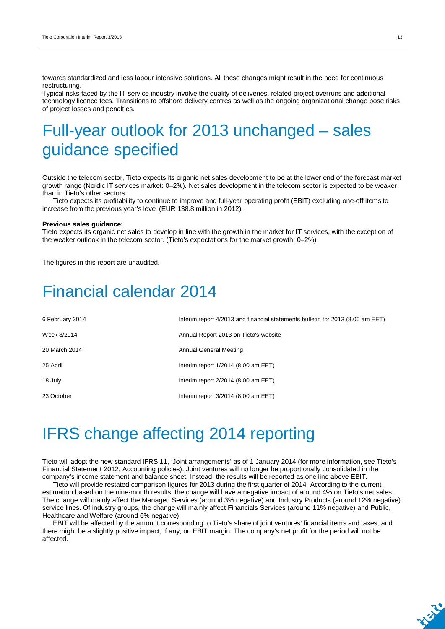towards standardized and less labour intensive solutions. All these changes might result in the need for continuous restructuring.

Typical risks faced by the IT service industry involve the quality of deliveries, related project overruns and additional technology licence fees. Transitions to offshore delivery centres as well as the ongoing organizational change pose risks of project losses and penalties.

## Full-year outlook for 2013 unchanged – sales guidance specified

Outside the telecom sector, Tieto expects its organic net sales development to be at the lower end of the forecast market growth range (Nordic IT services market: 0–2%). Net sales development in the telecom sector is expected to be weaker than in Tieto's other sectors.

Tieto expects its profitability to continue to improve and full-year operating profit (EBIT) excluding one-off items to increase from the previous year's level (EUR 138.8 million in 2012).

#### **Previous sales guidance:**

Tieto expects its organic net sales to develop in line with the growth in the market for IT services, with the exception of the weaker outlook in the telecom sector. (Tieto's expectations for the market growth: 0–2%)

The figures in this report are unaudited.

### Financial calendar 2014

| 6 February 2014 | Interim report 4/2013 and financial statements bulletin for 2013 (8.00 am EET) |
|-----------------|--------------------------------------------------------------------------------|
| Week 8/2014     | Annual Report 2013 on Tieto's website                                          |
| 20 March 2014   | Annual General Meeting                                                         |
| 25 April        | Interim report $1/2014$ (8.00 am EET)                                          |
| 18 July         | Interim report $2/2014$ (8.00 am EET)                                          |
| 23 October      | Interim report $3/2014$ (8.00 am EET)                                          |

## IFRS change affecting 2014 reporting

Tieto will adopt the new standard IFRS 11, 'Joint arrangements' as of 1 January 2014 (for more information, see Tieto's Financial Statement 2012, Accounting policies). Joint ventures will no longer be proportionally consolidated in the company's income statement and balance sheet. Instead, the results will be reported as one line above EBIT.

Tieto will provide restated comparison figures for 2013 during the first quarter of 2014. According to the current estimation based on the nine-month results, the change will have a negative impact of around 4% on Tieto's net sales. The change will mainly affect the Managed Services (around 3% negative) and Industry Products (around 12% negative) service lines. Of industry groups, the change will mainly affect Financials Services (around 11% negative) and Public, Healthcare and Welfare (around 6% negative).

EBIT will be affected by the amount corresponding to Tieto's share of joint ventures' financial items and taxes, and there might be a slightly positive impact, if any, on EBIT margin. The company's net profit for the period will not be affected.

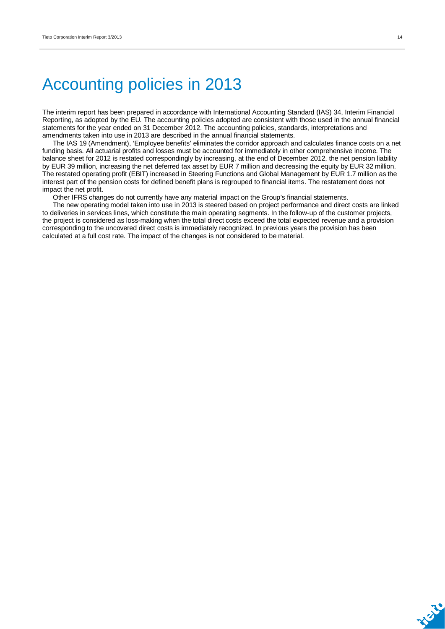## Accounting policies in 2013

The interim report has been prepared in accordance with International Accounting Standard (IAS) 34, Interim Financial Reporting, as adopted by the EU. The accounting policies adopted are consistent with those used in the annual financial statements for the year ended on 31 December 2012. The accounting policies, standards, interpretations and amendments taken into use in 2013 are described in the annual financial statements.

The IAS 19 (Amendment), 'Employee benefits' eliminates the corridor approach and calculates finance costs on a net funding basis. All actuarial profits and losses must be accounted for immediately in other comprehensive income. The balance sheet for 2012 is restated correspondingly by increasing, at the end of December 2012, the net pension liability by EUR 39 million, increasing the net deferred tax asset by EUR 7 million and decreasing the equity by EUR 32 million. The restated operating profit (EBIT) increased in Steering Functions and Global Management by EUR 1.7 million as the interest part of the pension costs for defined benefit plans is regrouped to financial items. The restatement does not impact the net profit.

Other IFRS changes do not currently have any material impact on the Group's financial statements.

The new operating model taken into use in 2013 is steered based on project performance and direct costs are linked to deliveries in services lines, which constitute the main operating segments. In the follow-up of the customer projects, the project is considered as loss-making when the total direct costs exceed the total expected revenue and a provision corresponding to the uncovered direct costs is immediately recognized. In previous years the provision has been calculated at a full cost rate. The impact of the changes is not considered to be material.

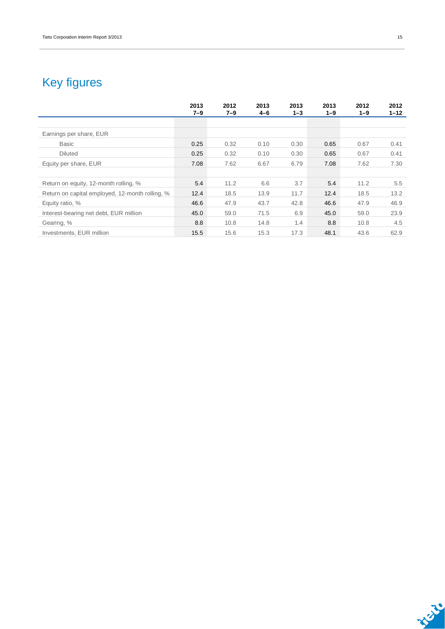### Key figures

|                                                 | 2013<br>$7 - 9$ | 2012<br>$7 - 9$ | 2013<br>$4 - 6$ | 2013<br>$1 - 3$ | 2013<br>$1 - 9$ | 2012<br>$1 - 9$ | 2012<br>$1 - 12$ |
|-------------------------------------------------|-----------------|-----------------|-----------------|-----------------|-----------------|-----------------|------------------|
|                                                 |                 |                 |                 |                 |                 |                 |                  |
| Earnings per share, EUR                         |                 |                 |                 |                 |                 |                 |                  |
| <b>Basic</b>                                    | 0.25            | 0.32            | 0.10            | 0.30            | 0.65            | 0.67            | 0.41             |
| <b>Diluted</b>                                  | 0.25            | 0.32            | 0.10            | 0.30            | 0.65            | 0.67            | 0.41             |
| Equity per share, EUR                           | 7.08            | 7.62            | 6.67            | 6.79            | 7.08            | 7.62            | 7.30             |
|                                                 |                 |                 |                 |                 |                 |                 |                  |
| Return on equity, 12-month rolling, %           | 5.4             | 11.2            | 6.6             | 3.7             | 5.4             | 11.2            | 5.5              |
| Return on capital employed, 12-month rolling, % | 12.4            | 18.5            | 13.9            | 11.7            | 12.4            | 18.5            | 13.2             |
| Equity ratio, %                                 | 46.6            | 47.9            | 43.7            | 42.8            | 46.6            | 47.9            | 46.9             |
| Interest-bearing net debt, EUR million          | 45.0            | 59.0            | 71.5            | 6.9             | 45.0            | 59.0            | 23.9             |
| Gearing, %                                      | 8.8             | 10.8            | 14.8            | 1.4             | 8.8             | 10.8            | 4.5              |
| Investments, EUR million                        | 15.5            | 15.6            | 15.3            | 17.3            | 48.1            | 43.6            | 62.9             |

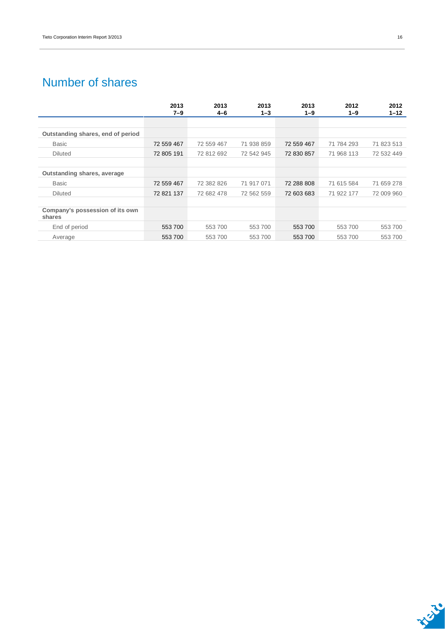### Number of shares

|                                           | 2013       | 2013       | 2013       | 2013       | 2012       | 2012       |
|-------------------------------------------|------------|------------|------------|------------|------------|------------|
|                                           | $7 - 9$    | $4 - 6$    | $1 - 3$    | $1 - 9$    | $1 - 9$    | $1 - 12$   |
|                                           |            |            |            |            |            |            |
| Outstanding shares, end of period         |            |            |            |            |            |            |
| <b>Basic</b>                              | 72 559 467 | 72 559 467 | 71 938 859 | 72 559 467 | 71 784 293 | 71 823 513 |
| <b>Diluted</b>                            | 72 805 191 | 72 812 692 | 72 542 945 | 72 830 857 | 71 968 113 | 72 532 449 |
|                                           |            |            |            |            |            |            |
| Outstanding shares, average               |            |            |            |            |            |            |
| <b>Basic</b>                              | 72 559 467 | 72 382 826 | 71 917 071 | 72 288 808 | 71 615 584 | 71 659 278 |
| <b>Diluted</b>                            | 72 821 137 | 72 682 478 | 72 562 559 | 72 603 683 | 71 922 177 | 72 009 960 |
|                                           |            |            |            |            |            |            |
| Company's possession of its own<br>shares |            |            |            |            |            |            |
| End of period                             | 553 700    | 553700     | 553700     | 553 700    | 553 700    | 553700     |
| Average                                   | 553 700    | 553700     | 553700     | 553 700    | 553 700    | 553700     |

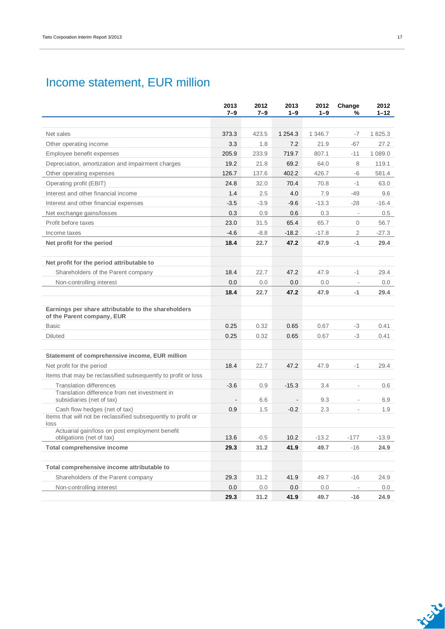### Income statement, EUR million

|                                                                                   | 2013<br>$7 - 9$ | 2012<br>$7 - 9$ | 2013<br>$1 - 9$              | 2012<br>$1 - 9$ | Change<br>%              | 2012<br>$1 - 12$ |
|-----------------------------------------------------------------------------------|-----------------|-----------------|------------------------------|-----------------|--------------------------|------------------|
|                                                                                   |                 |                 |                              |                 |                          |                  |
| Net sales                                                                         | 373.3           | 423.5           | 1 2 5 4 . 3                  | 1 346.7         | -7                       | 1825.3           |
| Other operating income                                                            | 3.3             | 1.8             | 7.2                          | 21.9            | $-67$                    | 27.2             |
| Employee benefit expenses                                                         | 205.9           | 233.9           | 719.7                        | 807.1           | $-11$                    | 1 0 8 9 . 0      |
| Depreciation, amortization and impairment charges                                 | 19.2            | 21.8            | 69.2                         | 64.0            | 8                        | 119.1            |
| Other operating expenses                                                          | 126.7           | 137.6           | 402.2                        | 426.7           | -6                       | 581.4            |
| Operating profit (EBIT)                                                           | 24.8            | 32.0            | 70.4                         | 70.8            | $-1$                     | 63.0             |
| Interest and other financial income                                               | 1.4             | 2.5             | 4.0                          | 7.9             | $-49$                    | 9.6              |
| Interest and other financial expenses                                             | $-3.5$          | $-3.9$          | $-9.6$                       | $-13.3$         | $-28$                    | $-16.4$          |
| Net exchange gains/losses                                                         | 0.3             | 0.9             | 0.6                          | 0.3             | $\overline{\phantom{a}}$ | 0.5              |
| Profit before taxes                                                               | 23.0            | 31.5            | 65.4                         | 65.7            | $\mathbf{0}$             | 56.7             |
| Income taxes                                                                      | $-4.6$          | $-8.8$          | $-18.2$                      | $-17.8$         | 2                        | $-27.3$          |
| Net profit for the period                                                         | 18.4            | 22.7            | 47.2                         | 47.9            | $-1$                     | 29.4             |
|                                                                                   |                 |                 |                              |                 |                          |                  |
| Net profit for the period attributable to                                         |                 |                 |                              |                 |                          |                  |
| Shareholders of the Parent company                                                | 18.4            | 22.7            | 47.2                         | 47.9            | -1                       | 29.4             |
| Non-controlling interest                                                          | 0.0             | 0.0             | 0.0                          | 0.0             | $\overline{\phantom{a}}$ | 0.0              |
|                                                                                   | 18.4            | 22.7            | 47.2                         | 47.9            | -1                       | 29.4             |
|                                                                                   |                 |                 |                              |                 |                          |                  |
| Earnings per share attributable to the shareholders<br>of the Parent company, EUR |                 |                 |                              |                 |                          |                  |
| <b>Basic</b>                                                                      | 0.25            | 0.32            | 0.65                         | 0.67            | -3                       | 0.41             |
| <b>Diluted</b>                                                                    | 0.25            | 0.32            | 0.65                         | 0.67            | -3                       | 0.41             |
|                                                                                   |                 |                 |                              |                 |                          |                  |
| Statement of comprehensive income, EUR million                                    |                 |                 |                              |                 |                          |                  |
| Net profit for the period                                                         | 18.4            | 22.7            | 47.2                         | 47.9            | $-1$                     | 29.4             |
| Items that may be reclassified subsequently to profit or loss                     |                 |                 |                              |                 |                          |                  |
| <b>Translation differences</b>                                                    | $-3.6$          | 0.9             | $-15.3$                      | 3.4             | $\frac{1}{2}$            | 0.6              |
| Translation difference from net investment in<br>subsidiaries (net of tax)        | $\blacksquare$  | 6.6             | $\qquad \qquad \blacksquare$ | 9.3             | L.                       | 6.9              |
| Cash flow hedges (net of tax)                                                     | 0.9             | 1.5             | $-0.2$                       | 2.3             | ä,                       | 1.9              |
| Items that will not be reclassified subsequently to profit or<br>loss             |                 |                 |                              |                 |                          |                  |
| Actuarial gain/loss on post employment benefit<br>obligations (net of tax)        | 13.6            | $-0.5$          | 10.2                         | $-13.2$         | $-177$                   | $-13.9$          |
| Total comprehensive income                                                        | 29.3            | 31.2            | 41.9                         | 49.7            | $-16$                    | 24.9             |
|                                                                                   |                 |                 |                              |                 |                          |                  |
| Total comprehensive income attributable to                                        |                 |                 |                              |                 |                          |                  |
| Shareholders of the Parent company                                                | 29.3            | 31.2            | 41.9                         | 49.7            | $-16$                    | 24.9             |
| Non-controlling interest                                                          | 0.0             | 0.0             | 0.0                          | 0.0             |                          | 0.0              |
|                                                                                   | 29.3            | 31.2            | 41.9                         | 49.7            | -16                      | 24.9             |

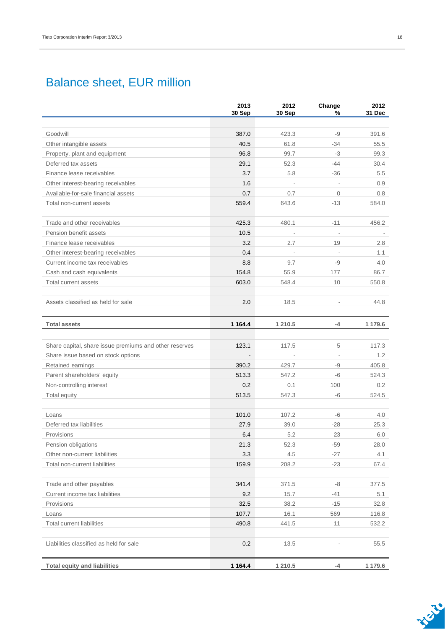### Balance sheet, EUR million

|                                                        | 2013<br>30 Sep | 2012<br>30 Sep           | Change<br>%  | 2012<br>31 Dec |
|--------------------------------------------------------|----------------|--------------------------|--------------|----------------|
|                                                        |                |                          |              |                |
| Goodwill                                               | 387.0          | 423.3                    | -9           | 391.6          |
| Other intangible assets                                | 40.5           | 61.8                     | $-34$        | 55.5           |
| Property, plant and equipment                          | 96.8           | 99.7                     | -3           | 99.3           |
| Deferred tax assets                                    | 29.1           | 52.3                     | $-44$        | 30.4           |
| Finance lease receivables                              | 3.7            | 5.8                      | $-36$        | 5.5            |
| Other interest-bearing receivables                     | 1.6            |                          | L,           | 0.9            |
| Available-for-sale financial assets                    | 0.7            | 0.7                      | $\mathbf{0}$ | 0.8            |
| Total non-current assets                               | 559.4          | 643.6                    | $-13$        | 584.0          |
|                                                        |                |                          |              |                |
| Trade and other receivables                            | 425.3          | 480.1                    | $-11$        | 456.2          |
| Pension benefit assets                                 | 10.5           | $\overline{\phantom{a}}$ |              |                |
| Finance lease receivables                              | 3.2            | 2.7                      | 19           | 2.8            |
| Other interest-bearing receivables                     | 0.4            |                          |              | 1.1            |
| Current income tax receivables                         | 8.8            | 9.7                      | -9           | 4.0            |
| Cash and cash equivalents                              | 154.8          | 55.9                     | 177          | 86.7           |
| Total current assets                                   | 603.0          | 548.4                    | 10           | 550.8          |
|                                                        |                |                          |              |                |
| Assets classified as held for sale                     | 2.0            | 18.5                     |              | 44.8           |
| <b>Total assets</b>                                    | 1 1 64.4       | 1 210.5                  | -4           | 1 179.6        |
|                                                        |                |                          |              |                |
| Share capital, share issue premiums and other reserves | 123.1          | 117.5                    | 5            | 117.3          |
| Share issue based on stock options                     |                |                          |              | 1.2            |
| Retained earnings                                      | 390.2          | 429.7                    | -9           | 405.8          |
| Parent shareholders' equity                            | 513.3          | 547.2                    | $-6$         | 524.3          |
| Non-controlling interest                               | 0.2            | 0.1                      | 100          | 0.2            |
| Total equity                                           | 513.5          | 547.3                    | -6           | 524.5          |
|                                                        |                |                          |              |                |
| Loans                                                  | 101.0          | 107.2                    | $-6$         | 4.0            |
| Deferred tax liabilities                               | 27.9           | 39.0                     | $-28$        | 25.3           |
| Provisions                                             | 6.4            | 5.2                      | 23           | 6.0            |
| Pension obligations                                    | 21.3           | 52.3                     | $-59$        | 28.0           |
| Other non-current liabilities                          | 3.3            | 4.5                      | $-27$        | 4.1            |
| Total non-current liabilities                          | 159.9          | 208.2                    | $-23$        | 67.4           |
|                                                        |                |                          |              |                |
| Trade and other payables                               | 341.4          | 371.5                    | -8           | 377.5          |
| Current income tax liabilities                         | 9.2            | 15.7                     | $-41$        | 5.1            |
| Provisions                                             | 32.5           | 38.2                     | $-15$        | 32.8           |
| Loans                                                  | 107.7          | 16.1                     | 569          | 116.8          |
| <b>Total current liabilities</b>                       | 490.8          | 441.5                    | 11           | 532.2          |
| Liabilities classified as held for sale                | 0.2            | 13.5                     |              | 55.5           |
|                                                        |                |                          |              |                |
| <b>Total equity and liabilities</b>                    | 1 1 64.4       | 1 210.5                  | -4           | 1 179.6        |

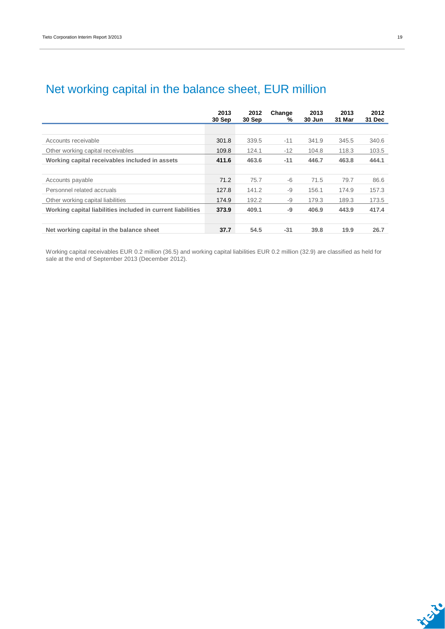|                                                             | 2013<br>30 Sep | 2012<br>30 Sep | Change<br>% | 2013<br>30 Jun | 2013<br>31 Mar | 2012<br>31 Dec |
|-------------------------------------------------------------|----------------|----------------|-------------|----------------|----------------|----------------|
|                                                             |                |                |             |                |                |                |
| Accounts receivable                                         | 301.8          | 339.5          | $-11$       | 341.9          | 345.5          | 340.6          |
| Other working capital receivables                           | 109.8          | 124.1          | $-12$       | 104.8          | 118.3          | 103.5          |
| Working capital receivables included in assets              | 411.6          | 463.6          | $-11$       | 446.7          | 463.8          | 444.1          |
|                                                             |                |                |             |                |                |                |
| Accounts payable                                            | 71.2           | 75.7           | $-6$        | 71.5           | 79.7           | 86.6           |
| Personnel related accruals                                  | 127.8          | 141.2          | $-9$        | 156.1          | 174.9          | 157.3          |
| Other working capital liabilities                           | 174.9          | 192.2          | -9          | 179.3          | 189.3          | 173.5          |
| Working capital liabilities included in current liabilities | 373.9          | 409.1          | -9          | 406.9          | 443.9          | 417.4          |
|                                                             |                |                |             |                |                |                |
| Net working capital in the balance sheet                    | 37.7           | 54.5           | $-31$       | 39.8           | 19.9           | 26.7           |

### Net working capital in the balance sheet, EUR million

Working capital receivables EUR 0.2 million (36.5) and working capital liabilities EUR 0.2 million (32.9) are classified as held for sale at the end of September 2013 (December 2012).

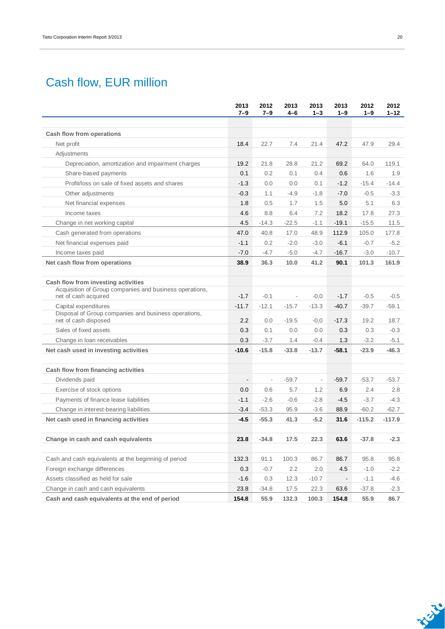### Cash flow, EUR million

|                                                                                 | 2013<br>$7 - 9$          | 2012<br>$7 - 9$          | 2013<br>4–6              | 2013<br>$1 - 3$          | 2013<br>$1 - 9$ | 2012<br>$1 - 9$ | 2012<br>$1 - 12$ |
|---------------------------------------------------------------------------------|--------------------------|--------------------------|--------------------------|--------------------------|-----------------|-----------------|------------------|
|                                                                                 |                          |                          |                          |                          |                 |                 |                  |
| Cash flow from operations                                                       |                          |                          |                          |                          |                 |                 |                  |
| Net profit                                                                      | 18.4                     | 22.7                     | 7.4                      | 21.4                     | 47.2            | 47.9            | 29.4             |
| Adjustments                                                                     |                          |                          |                          |                          |                 |                 |                  |
| Depreciation, amortization and impairment charges                               | 19.2                     | 21.8                     | 28.8                     | 21.2                     | 69.2            | 64.0            | 119.1            |
| Share-based payments                                                            | 0.1                      | 0.2                      | 0.1                      | 0.4                      | 0.6             | 1.6             | 1.9              |
| Profit/loss on sale of fixed assets and shares                                  | $-1.3$                   | 0.0                      | 0.0                      | 0.1                      | $-1.2$          | $-15.4$         | $-14.4$          |
| Other adjustments                                                               | $-0.3$                   | 1.1                      | $-4.9$                   | $-1.8$                   | $-7.0$          | $-0.5$          | $-3.3$           |
| Net financial expenses                                                          | 1.8                      | 0.5                      | 1.7                      | 1.5                      | 5.0             | 5.1             | 6.3              |
| Income taxes                                                                    | 4.6                      | 8.8                      | 6.4                      | 7.2                      | 18.2            | 17.8            | 27.3             |
| Change in net working capital                                                   | 4.5                      | $-14.3$                  | $-22.5$                  | $-1.1$                   | $-19.1$         | $-15.5$         | 11.5             |
| Cash generated from operations                                                  | 47.0                     | 40.8                     | 17.0                     | 48.9                     | 112.9           | 105.0           | 177.8            |
| Net financial expenses paid                                                     | $-1.1$                   | 0.2                      | $-2.0$                   | $-3.0$                   | $-6.1$          | $-0.7$          | $-5.2$           |
| Income taxes paid                                                               | $-7.0$                   | $-4.7$                   | $-5.0$                   | $-4.7$                   | $-16.7$         | $-3.0$          | $-10.7$          |
| Net cash flow from operations                                                   | 38.9                     | 36.3                     | 10.0                     | 41.2                     | 90.1            | 101.3           | 161.9            |
| Cash flow from investing activities                                             |                          |                          |                          |                          |                 |                 |                  |
| Acquisition of Group companies and business operations,<br>net of cash acquired | $-1.7$                   | $-0.1$                   | $\overline{\phantom{a}}$ | $-0,0$                   | $-1.7$          | $-0.5$          | $-0.5$           |
| Capital expenditures                                                            | $-11.7$                  | $-12.1$                  | $-15.7$                  | $-13.3$                  | $-40.7$         | $-39.7$         | $-59.1$          |
| Disposal of Group companies and business operations,<br>net of cash disposed    | 2.2                      | 0.0                      | $-19.5$                  | $-0,0$                   | $-17.3$         | 19.2            | 18.7             |
| Sales of fixed assets                                                           | 0.3                      | 0.1                      | 0.0                      | 0.0                      | 0.3             | 0.3             | $-0.3$           |
| Change in Ioan receivables                                                      | 0.3                      | $-3.7$                   | 1.4                      | $-0.4$                   | 1.3             | $-3.2$          | $-5.1$           |
| Net cash used in investing activities                                           | $-10.6$                  | $-15.8$                  | $-33.8$                  | $-13.7$                  | $-58.1$         | $-23.9$         | $-46.3$          |
| Cash flow from financing activities                                             |                          |                          |                          |                          |                 |                 |                  |
| Dividends paid                                                                  | $\overline{\phantom{a}}$ | $\overline{\phantom{a}}$ | $-59.7$                  | $\overline{\phantom{a}}$ | $-59.7$         | $-53.7$         | $-53.7$          |
| Exercise of stock options                                                       | 0.0                      | 0.6                      | 5.7                      | 1.2                      | 6.9             | 2.4             | 2.8              |
| Payments of finance lease liabilities                                           | $-1.1$                   | $-2.6$                   | $-0.6$                   | $-2.8$                   | $-4.5$          | $-3.7$          | $-4.3$           |
| Change in interest-bearing liabilities                                          | $-3.4$                   | $-53.3$                  | 95.9                     | $-3.6$                   | 88.9            | $-60.2$         | $-62.7$          |
| Net cash used in financing activities                                           | $-4.5$                   | $-55.3$                  | 41.3                     | $-5.2$                   | 31.6            | $-115.2$        | $-117.9$         |
| Change in cash and cash equivalents                                             | 23.8                     | $-34.8$                  | 17.5                     | 22.3                     | 63.6            | $-37.8$         | $-2.3$           |
| Cash and cash equivalents at the beginning of period                            | 132.3                    | 91.1                     | 100.3                    | 86.7                     | 86.7            | 95.8            | 95.8             |
| Foreign exchange differences                                                    | 0.3                      | $-0.7$                   | 2.2                      | 2.0                      | 4.5             | $-1.0$          | $-2.2$           |
| Assets classified as held for sale                                              | $-1.6$                   | 0.3                      | 12.3                     | $-10.7$                  | $\blacksquare$  | $-1.1$          | $-4.6$           |
| Change in cash and cash equivalents                                             | 23.8                     | $-34.8$                  | 17.5                     | 22.3                     | 63.6            | $-37.8$         | $-2.3$           |
| Cash and cash equivalents at the end of period                                  | 154.8                    | 55.9                     | 132.3                    | 100.3                    | 154.8           | 55.9            | 86.7             |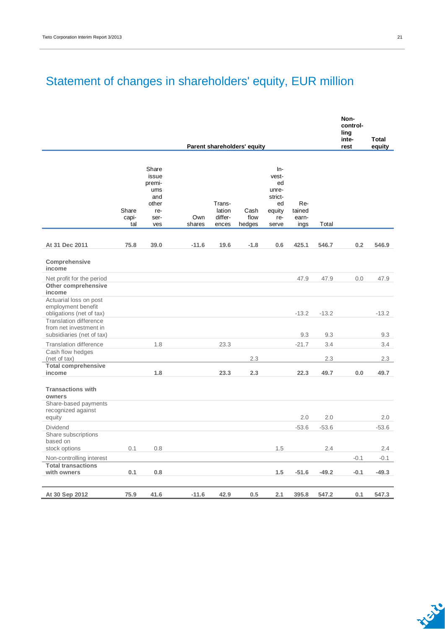## Statement of changes in shareholders' equity, EUR million

|                                                                                                           |                       |                                                                       |               |                                      |                             |                                                                        |                                |         | Non-<br>control-<br>ling<br>inte- | Total   |
|-----------------------------------------------------------------------------------------------------------|-----------------------|-----------------------------------------------------------------------|---------------|--------------------------------------|-----------------------------|------------------------------------------------------------------------|--------------------------------|---------|-----------------------------------|---------|
|                                                                                                           |                       |                                                                       |               |                                      | Parent shareholders' equity |                                                                        |                                |         | rest                              | equity  |
|                                                                                                           | Share<br>capi-<br>tal | Share<br>issue<br>premi-<br>ums<br>and<br>other<br>re-<br>ser-<br>ves | Own<br>shares | Trans-<br>lation<br>differ-<br>ences | Cash<br>flow<br>hedges      | In-<br>vest-<br>ed<br>unre-<br>strict-<br>ed<br>equity<br>re-<br>serve | Re-<br>tained<br>earn-<br>ings | Total   |                                   |         |
| At 31 Dec 2011                                                                                            | 75.8                  | 39.0                                                                  | $-11.6$       | 19.6                                 | $-1.8$                      | 0.6                                                                    | 425.1                          | 546.7   | 0.2                               | 546.9   |
| Comprehensive<br>income                                                                                   |                       |                                                                       |               |                                      |                             |                                                                        |                                |         |                                   |         |
| Net profit for the period<br>Other comprehensive<br>income                                                |                       |                                                                       |               |                                      |                             |                                                                        | 47.9                           | 47.9    | 0.0                               | 47.9    |
| Actuarial loss on post<br>employment benefit<br>obligations (net of tax)<br><b>Translation difference</b> |                       |                                                                       |               |                                      |                             |                                                                        | $-13.2$                        | $-13.2$ |                                   | $-13.2$ |
| from net investment in<br>subsidiaries (net of tax)                                                       |                       |                                                                       |               |                                      |                             |                                                                        | 9.3                            | 9.3     |                                   | 9.3     |
| <b>Translation difference</b><br>Cash flow hedges                                                         |                       | 1.8                                                                   |               | 23.3                                 |                             |                                                                        | $-21.7$                        | 3.4     |                                   | 3.4     |
| (net of tax)                                                                                              |                       |                                                                       |               |                                      | 2.3                         |                                                                        |                                | 2.3     |                                   | 2.3     |
| <b>Total comprehensive</b><br>income                                                                      |                       | 1.8                                                                   |               | 23.3                                 | 2.3                         |                                                                        | 22.3                           | 49.7    | 0.0                               | 49.7    |
| <b>Transactions with</b><br>owners                                                                        |                       |                                                                       |               |                                      |                             |                                                                        |                                |         |                                   |         |
| Share-based payments<br>recognized against<br>equity                                                      |                       |                                                                       |               |                                      |                             |                                                                        | 2.0                            | 2.0     |                                   | 2.0     |
| Dividend                                                                                                  |                       |                                                                       |               |                                      |                             |                                                                        | $-53.6$                        | $-53.6$ |                                   | $-53.6$ |
| Share subscriptions<br>based on                                                                           |                       |                                                                       |               |                                      |                             |                                                                        |                                |         |                                   |         |
| stock options                                                                                             | 0.1                   | 0.8                                                                   |               |                                      |                             | 1.5                                                                    |                                | 2.4     |                                   | 2.4     |
| Non-controlling interest                                                                                  |                       |                                                                       |               |                                      |                             |                                                                        |                                |         | $-0.1$                            | $-0.1$  |
| <b>Total transactions</b><br>with owners                                                                  | 0.1                   | 0.8                                                                   |               |                                      |                             | 1.5                                                                    | $-51.6$                        | $-49.2$ | $-0.1$                            | $-49.3$ |
|                                                                                                           |                       |                                                                       |               |                                      |                             |                                                                        |                                |         |                                   |         |
| At 30 Sep 2012                                                                                            | 75.9                  | 41.6                                                                  | $-11.6$       | 42.9                                 | 0.5                         | 2.1                                                                    | 395.8                          | 547.2   | 0.1                               | 547.3   |

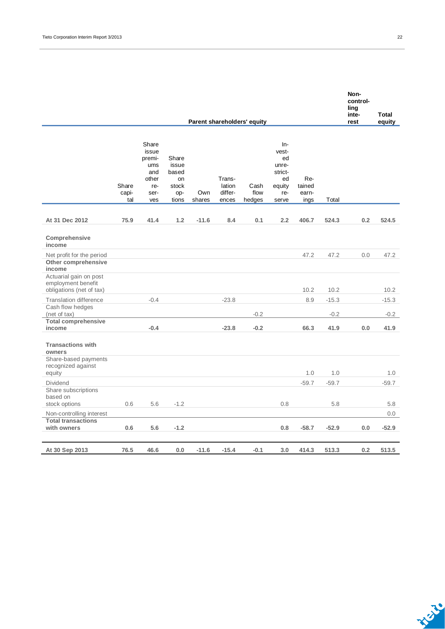|                                                                                      |                       |                                                                       |                                                        |               |                                      | Parent shareholders' equity |                                                                          |                                |                   | control-<br>ling<br>inte-<br>rest | <b>Total</b><br>equity |
|--------------------------------------------------------------------------------------|-----------------------|-----------------------------------------------------------------------|--------------------------------------------------------|---------------|--------------------------------------|-----------------------------|--------------------------------------------------------------------------|--------------------------------|-------------------|-----------------------------------|------------------------|
|                                                                                      | Share<br>capi-<br>tal | Share<br>issue<br>premi-<br>ums<br>and<br>other<br>re-<br>ser-<br>ves | Share<br>issue<br>based<br>on<br>stock<br>op-<br>tions | Own<br>shares | Trans-<br>lation<br>differ-<br>ences | Cash<br>flow<br>hedges      | $In-$<br>vest-<br>ed<br>unre-<br>strict-<br>ed<br>equity<br>re-<br>serve | Re-<br>tained<br>earn-<br>ings | Total             |                                   |                        |
| At 31 Dec 2012                                                                       | 75.9                  | 41.4                                                                  | 1.2                                                    | $-11.6$       | 8.4                                  | 0.1                         | 2.2                                                                      | 406.7                          | 524.3             | 0.2                               | 524.5                  |
| Comprehensive<br>income                                                              |                       |                                                                       |                                                        |               |                                      |                             |                                                                          |                                |                   |                                   |                        |
| Net profit for the period<br>Other comprehensive<br>income<br>Actuarial gain on post |                       |                                                                       |                                                        |               |                                      |                             |                                                                          | 47.2                           | 47.2              | 0.0                               | 47.2                   |
| employment benefit<br>obligations (net of tax)                                       |                       |                                                                       |                                                        |               |                                      |                             |                                                                          | 10.2                           | 10.2              |                                   | 10.2                   |
| <b>Translation difference</b><br>Cash flow hedges<br>(net of tax)                    |                       | $-0.4$                                                                |                                                        |               | $-23.8$                              | $-0.2$                      |                                                                          | 8.9                            | $-15.3$<br>$-0.2$ |                                   | $-15.3$<br>$-0.2$      |
| <b>Total comprehensive</b><br>income                                                 |                       | $-0.4$                                                                |                                                        |               | $-23.8$                              | $-0.2$                      |                                                                          | 66.3                           | 41.9              | 0.0                               | 41.9                   |
| <b>Transactions with</b><br>owners                                                   |                       |                                                                       |                                                        |               |                                      |                             |                                                                          |                                |                   |                                   |                        |
| Share-based payments<br>recognized against<br>equity                                 |                       |                                                                       |                                                        |               |                                      |                             |                                                                          | 1.0                            | 1.0               |                                   | 1.0                    |
| <b>Dividend</b>                                                                      |                       |                                                                       |                                                        |               |                                      |                             |                                                                          | $-59.7$                        | $-59.7$           |                                   | $-59.7$                |
| Share subscriptions<br>based on<br>stock options                                     | 0.6                   | 5.6                                                                   | $-1.2$                                                 |               |                                      |                             | 0.8                                                                      |                                | 5.8               |                                   | 5.8                    |
| Non-controlling interest                                                             |                       |                                                                       |                                                        |               |                                      |                             |                                                                          |                                |                   |                                   | 0.0                    |
| <b>Total transactions</b><br>with owners                                             | 0.6                   | 5.6                                                                   | $-1.2$                                                 |               |                                      |                             | 0.8                                                                      | $-58.7$                        | $-52.9$           | 0.0                               | $-52.9$                |
| At 30 Sep 2013                                                                       | 76.5                  | 46.6                                                                  | 0.0                                                    | $-11.6$       | $-15.4$                              | $-0.1$                      | 3.0                                                                      | 414.3                          | 513.3             | 0.2                               | 513.5                  |

**Non-**

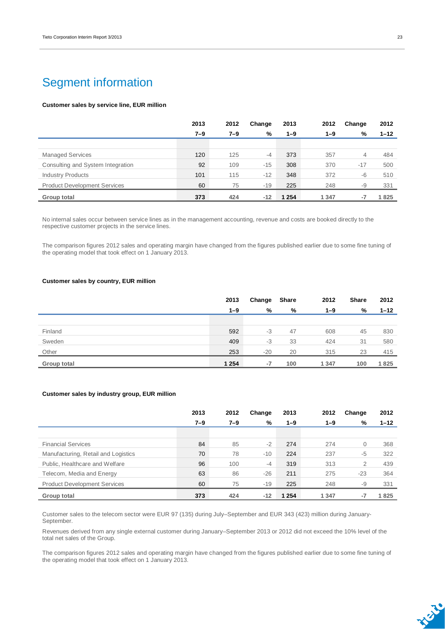### Segment information

#### **Customer sales by service line, EUR million**

|                                     | 2013    | 2012 | Change | 2013    | 2012    | Change | 2012     |
|-------------------------------------|---------|------|--------|---------|---------|--------|----------|
|                                     | $7 - 9$ | 7–9  | %      | $1 - 9$ | 1–9     | %      | $1 - 12$ |
|                                     |         |      |        |         |         |        |          |
| <b>Managed Services</b>             | 120     | 125  | -4     | 373     | 357     | 4      | 484      |
| Consulting and System Integration   | 92      | 109  | $-15$  | 308     | 370     | $-17$  | 500      |
| <b>Industry Products</b>            | 101     | 115  | $-12$  | 348     | 372     | -6     | 510      |
| <b>Product Development Services</b> | 60      | 75   | $-19$  | 225     | 248     | -9     | 331      |
| Group total                         | 373     | 424  | $-12$  | 1 2 5 4 | 1 3 4 7 | -7     | 1825     |

No internal sales occur between service lines as in the management accounting, revenue and costs are booked directly to the respective customer projects in the service lines.

The comparison figures 2012 sales and operating margin have changed from the figures published earlier due to some fine tuning of the operating model that took effect on 1 January 2013.

#### **Customer sales by country, EUR million**

|             | 2013    | Change | Share | 2012    | Share | 2012     |
|-------------|---------|--------|-------|---------|-------|----------|
|             | $1 - 9$ | %      | %     | $1 - 9$ | %     | $1 - 12$ |
|             |         |        |       |         |       |          |
| Finland     | 592     | $-3$   | 47    | 608     | 45    | 830      |
| Sweden      | 409     | $-3$   | 33    | 424     | 31    | 580      |
| Other       | 253     | $-20$  | 20    | 315     | 23    | 415      |
| Group total | 1 2 5 4 | -7     | 100   | 1 3 4 7 | 100   | 1825     |

#### **Customer sales by industry group, EUR million**

|                                     | 2013    | 2012    | Change | 2013    | 2012    | Change | 2012     |
|-------------------------------------|---------|---------|--------|---------|---------|--------|----------|
|                                     | $7 - 9$ | $7 - 9$ | %      | $1 - 9$ | $1 - 9$ | %      | $1 - 12$ |
|                                     |         |         |        |         |         |        |          |
| <b>Financial Services</b>           | 84      | 85      | $-2$   | 274     | 274     | 0      | 368      |
| Manufacturing, Retail and Logistics | 70      | 78      | $-10$  | 224     | 237     | $-5$   | 322      |
| Public, Healthcare and Welfare      | 96      | 100     | $-4$   | 319     | 313     | 2      | 439      |
| Telecom, Media and Energy           | 63      | 86      | $-26$  | 211     | 275     | $-23$  | 364      |
| <b>Product Development Services</b> | 60      | 75      | $-19$  | 225     | 248     | -9     | 331      |
| Group total                         | 373     | 424     | $-12$  | 1 2 5 4 | 1 3 4 7 | -7     | 1825     |

Customer sales to the telecom sector were EUR 97 (135) during July–September and EUR 343 (423) million during January-September.

Revenues derived from any single external customer during January–September 2013 or 2012 did not exceed the 10% level of the total net sales of the Group.

The comparison figures 2012 sales and operating margin have changed from the figures published earlier due to some fine tuning of the operating model that took effect on 1 January 2013.

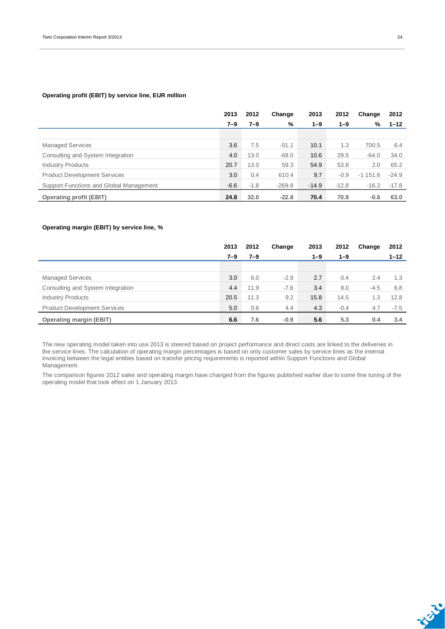#### **Operating profit (EBIT) by service line, EUR million**

|                                         | 2013   | 2012    | Change   | 2013    | 2012    | Change    | 2012     |
|-----------------------------------------|--------|---------|----------|---------|---------|-----------|----------|
|                                         | 7–9    | $7 - 9$ | %        | $1 - 9$ | $1 - 9$ | %         | $1 - 12$ |
|                                         |        |         |          |         |         |           |          |
| <b>Managed Services</b>                 | 3.6    | 7.5     | $-51.1$  | 10.1    | 1.3     | 700.5     | 6.4      |
| Consulting and System Integration       | 4.0    | 13.0    | $-69.0$  | 10.6    | 29.5    | $-64.0$   | 34.0     |
| <b>Industry Products</b>                | 20.7   | 13.0    | 59.3     | 54.9    | 53.8    | 2.0       | 65.2     |
| <b>Product Development Services</b>     | 3.0    | 0.4     | 610.4    | 9.7     | $-0.9$  | $-1151.6$ | $-24.9$  |
| Support Functions and Global Management | $-6.6$ | $-1.8$  | $-269.8$ | $-14.9$ | $-12.8$ | $-16.2$   | $-17.8$  |
| <b>Operating profit (EBIT)</b>          | 24.8   | 32.0    | $-22.8$  | 70.4    | 70.8    | $-0.6$    | 63.0     |

#### **Operating margin (EBIT) by service line, %**

|                                     | 2013    | 2012    | Change | 2013    | 2012    | Change | 2012     |
|-------------------------------------|---------|---------|--------|---------|---------|--------|----------|
|                                     | $7 - 9$ | $7 - 9$ |        | $1 - 9$ | $1 - 9$ |        | $1 - 12$ |
|                                     |         |         |        |         |         |        |          |
| <b>Managed Services</b>             | 3.0     | 6.0     | $-2.9$ | 2.7     | 0.4     | 2.4    | 1.3      |
| Consulting and System Integration   | 4.4     | 11.9    | $-7.6$ | 3.4     | 8.0     | $-4.5$ | 6.8      |
| <b>Industry Products</b>            | 20.5    | 11.3    | 9.2    | 15.8    | 14.5    | 1.3    | 12.8     |
| <b>Product Development Services</b> | 5.0     | 0.6     | 4.4    | 4.3     | $-0.4$  | 4.7    | $-7.5$   |
| <b>Operating margin (EBIT)</b>      | 6.6     | 7.6     | $-0.9$ | 5.6     | 5.3     | 0.4    | 3.4      |

The new operating model taken into use 2013 is steered based on project performance and direct costs are linked to the deliveries in the service lines. The calculation of operating margin percentages is based on only customer sales by service lines as the internal invoicing between the legal entities based on transfer pricing requirements is reported within Support Functions and Global Management.

The comparison figures 2012 sales and operating margin have changed from the figures published earlier due to some fine tuning of the operating model that took effect on 1 January 2013.

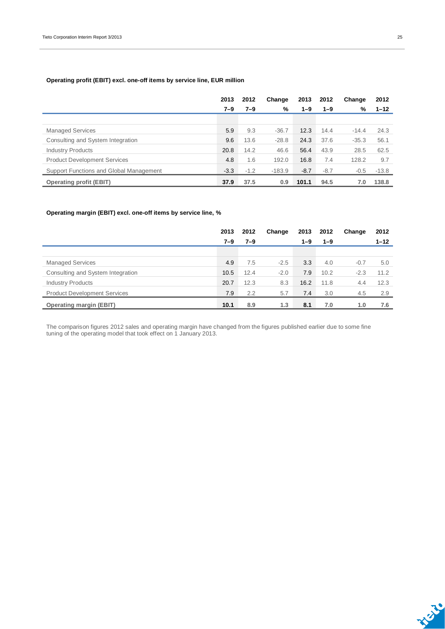#### **Operating profit (EBIT) excl. one-off items by service line, EUR million**

|                                         | 2013    | 2012   | Change   | 2013    | 2012    | Change  | 2012     |
|-----------------------------------------|---------|--------|----------|---------|---------|---------|----------|
|                                         | $7 - 9$ | 7–9    | %        | $1 - 9$ | $1 - 9$ | %       | $1 - 12$ |
|                                         |         |        |          |         |         |         |          |
| <b>Managed Services</b>                 | 5.9     | 9.3    | $-36.7$  | 12.3    | 14.4    | $-14.4$ | 24.3     |
| Consulting and System Integration       | 9.6     | 13.6   | $-28.8$  | 24.3    | 37.6    | $-35.3$ | 56.1     |
| <b>Industry Products</b>                | 20.8    | 14.2   | 46.6     | 56.4    | 43.9    | 28.5    | 62.5     |
| <b>Product Development Services</b>     | 4.8     | 1.6    | 192.0    | 16.8    | 7.4     | 128.2   | 9.7      |
| Support Functions and Global Management | $-3.3$  | $-1.2$ | $-183.9$ | $-8.7$  | $-8.7$  | $-0.5$  | $-13.8$  |
| <b>Operating profit (EBIT)</b>          | 37.9    | 37.5   | 0.9      | 101.1   | 94.5    | 7.0     | 138.8    |

#### **Operating margin (EBIT) excl. one-off items by service line, %**

|                                     | 2013    | 2012    | Change | 2013    | 2012    | Change | 2012     |
|-------------------------------------|---------|---------|--------|---------|---------|--------|----------|
|                                     | $7 - 9$ | $7 - 9$ |        | $1 - 9$ | $1 - 9$ |        | $1 - 12$ |
|                                     |         |         |        |         |         |        |          |
| <b>Managed Services</b>             | 4.9     | 7.5     | $-2.5$ | 3.3     | 4.0     | $-0.7$ | 5.0      |
| Consulting and System Integration   | 10.5    | 12.4    | $-2.0$ | 7.9     | 10.2    | $-2.3$ | 11.2     |
| <b>Industry Products</b>            | 20.7    | 12.3    | 8.3    | 16.2    | 11.8    | 4.4    | 12.3     |
| <b>Product Development Services</b> | 7.9     | 2.2     | 5.7    | 7.4     | 3.0     | 4.5    | 2.9      |
| <b>Operating margin (EBIT)</b>      | 10.1    | 8.9     | 1.3    | 8.1     | 7.0     | 1.0    | 7.6      |

The comparison figures 2012 sales and operating margin have changed from the figures published earlier due to some fine tuning of the operating model that took effect on 1 January 2013.

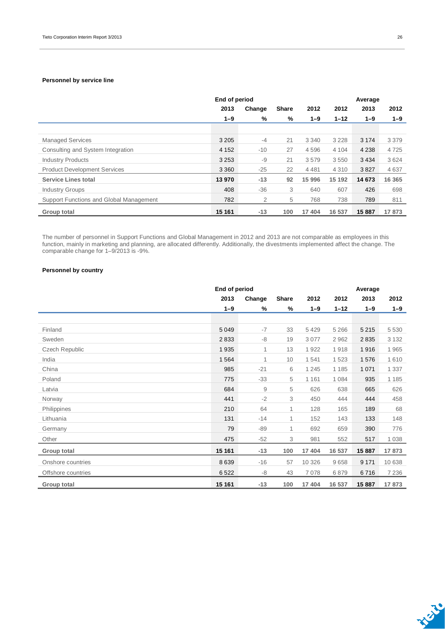#### **Personnel by service line**

|                                         |         | End of period |              |         |          | Average |         |  |  |
|-----------------------------------------|---------|---------------|--------------|---------|----------|---------|---------|--|--|
|                                         | 2013    | Change        | <b>Share</b> | 2012    | 2012     | 2013    | 2012    |  |  |
|                                         | $1 - 9$ | %             | %            | $1 - 9$ | $1 - 12$ | $1 - 9$ | $1 - 9$ |  |  |
|                                         |         |               |              |         |          |         |         |  |  |
| <b>Managed Services</b>                 | 3 2 0 5 | $-4$          | 21           | 3 3 4 0 | 3 2 2 8  | 3 1 7 4 | 3 3 7 9 |  |  |
| Consulting and System Integration       | 4 1 5 2 | $-10$         | 27           | 4596    | 4 1 0 4  | 4 2 3 8 | 4725    |  |  |
| <b>Industry Products</b>                | 3 2 5 3 | -9            | 21           | 3579    | 3550     | 3 4 3 4 | 3624    |  |  |
| <b>Product Development Services</b>     | 3 3 6 0 | $-25$         | 22           | 4 4 8 1 | 4 3 1 0  | 3827    | 4637    |  |  |
| <b>Service Lines total</b>              | 13 970  | $-13$         | 92           | 15 996  | 15 192   | 14 673  | 16 3 65 |  |  |
| <b>Industry Groups</b>                  | 408     | $-36$         | 3            | 640     | 607      | 426     | 698     |  |  |
| Support Functions and Global Management | 782     | 2             | 5            | 768     | 738      | 789     | 811     |  |  |
| Group total                             | 15 161  | $-13$         | 100          | 17 404  | 16 537   | 15 887  | 17873   |  |  |

The number of personnel in Support Functions and Global Management in 2012 and 2013 are not comparable as employees in this function, mainly in marketing and planning, are allocated differently. Additionally, the divestments implemented affect the change. The comparable change for 1–9/2013 is -9%.

#### **Personnel by country**

|                       | End of period |        |              |         |          | Average |         |
|-----------------------|---------------|--------|--------------|---------|----------|---------|---------|
|                       | 2013          | Change | <b>Share</b> | 2012    | 2012     | 2013    | 2012    |
|                       | $1 - 9$       | %      | $\%$         | $1 - 9$ | $1 - 12$ | $1 - 9$ | $1 - 9$ |
|                       |               |        |              |         |          |         |         |
| Finland               | 5 0 4 9       | $-7$   | 33           | 5 4 2 9 | 5 2 6 6  | 5 2 1 5 | 5 5 3 0 |
| Sweden                | 2833          | -8     | 19           | 3 0 7 7 | 2962     | 2835    | 3 1 3 2 |
| <b>Czech Republic</b> | 1935          | 1      | 13           | 1922    | 1918     | 1916    | 1965    |
| India                 | 1564          | 1      | 10           | 1541    | 1523     | 1576    | 1610    |
| China                 | 985           | $-21$  | 6            | 1 2 4 5 | 1 1 8 5  | 1 0 7 1 | 1 3 3 7 |
| Poland                | 775           | $-33$  | 5            | 1 1 6 1 | 1 0 8 4  | 935     | 1 1 8 5 |
| Latvia                | 684           | 9      | 5            | 626     | 638      | 665     | 626     |
| Norway                | 441           | $-2$   | 3            | 450     | 444      | 444     | 458     |
| Philippines           | 210           | 64     | 1            | 128     | 165      | 189     | 68      |
| Lithuania             | 131           | $-14$  | 1            | 152     | 143      | 133     | 148     |
| Germany               | 79            | $-89$  | 1            | 692     | 659      | 390     | 776     |
| Other                 | 475           | $-52$  | 3            | 981     | 552      | 517     | 1 0 3 8 |
| Group total           | 15 161        | $-13$  | 100          | 17 404  | 16 537   | 15 887  | 17873   |
| Onshore countries     | 8639          | $-16$  | 57           | 10 326  | 9658     | 9 1 7 1 | 10 638  |
| Offshore countries    | 6522          | -8     | 43           | 7078    | 6879     | 6716    | 7 2 3 6 |
| Group total           | 15 161        | $-13$  | 100          | 17 404  | 16 537   | 15 887  | 17873   |

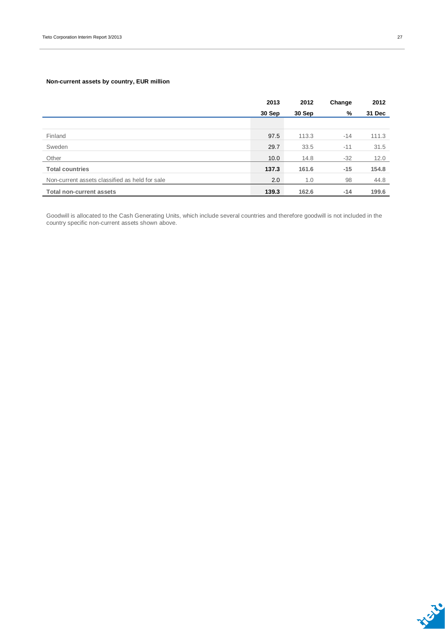#### **Non-current assets by country, EUR million**

|                                                | 2013   | 2012   | Change | 2012   |
|------------------------------------------------|--------|--------|--------|--------|
|                                                | 30 Sep | 30 Sep | %      | 31 Dec |
|                                                |        |        |        |        |
| Finland                                        | 97.5   | 113.3  | $-14$  | 111.3  |
| Sweden                                         | 29.7   | 33.5   | $-11$  | 31.5   |
| Other                                          | 10.0   | 14.8   | $-32$  | 12.0   |
| <b>Total countries</b>                         | 137.3  | 161.6  | $-15$  | 154.8  |
| Non-current assets classified as held for sale | 2.0    | 1.0    | 98     | 44.8   |
| <b>Total non-current assets</b>                | 139.3  | 162.6  | $-14$  | 199.6  |

Goodwill is allocated to the Cash Generating Units, which include several countries and therefore goodwill is not included in the country specific non-current assets shown above.

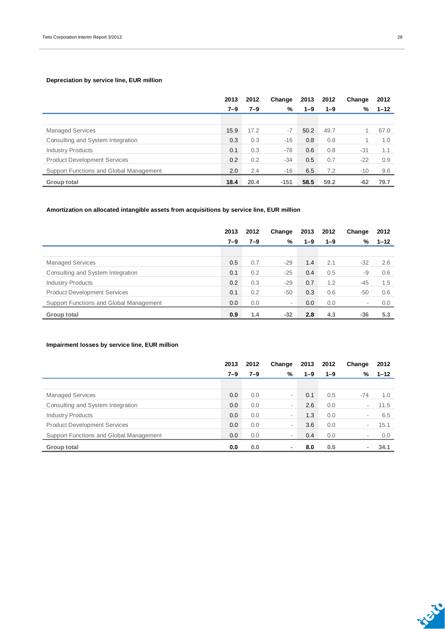#### **Depreciation by service line, EUR million**

|                                         | 2013 | 2012    | Change | 2013    | 2012    | Change | 2012     |
|-----------------------------------------|------|---------|--------|---------|---------|--------|----------|
|                                         | 7–9  | $7 - 9$ | %      | $1 - 9$ | $1 - 9$ | %      | $1 - 12$ |
|                                         |      |         |        |         |         |        |          |
| <b>Managed Services</b>                 | 15.9 | 17.2    | $-7$   | 50.2    | 49.7    |        | 67.0     |
| Consulting and System Integration       | 0.3  | 0.3     | $-16$  | 0.8     | 0.8     |        | 1.0      |
| <b>Industry Products</b>                | 0.1  | 0.3     | $-78$  | 0.6     | 0.8     | $-31$  | 1.1      |
| <b>Product Development Services</b>     | 0.2  | 0.2     | $-34$  | 0.5     | 0.7     | $-22$  | 0.9      |
| Support Functions and Global Management | 2.0  | 2.4     | $-16$  | 6.5     | 7.2     | $-10$  | 9.6      |
| Group total                             | 18.4 | 20.4    | $-151$ | 58.5    | 59.2    | $-62$  | 79.7     |

#### **Amortization on allocated intangible assets from acquisitions by service line, EUR million**

|                                         | 2013 | 2012    | Change                   | 2013    | 2012    | Change                   | 2012     |
|-----------------------------------------|------|---------|--------------------------|---------|---------|--------------------------|----------|
|                                         | 7–9  | $7 - 9$ | %                        | $1 - 9$ | $1 - 9$ | %                        | $1 - 12$ |
|                                         |      |         |                          |         |         |                          |          |
| <b>Managed Services</b>                 | 0.5  | 0.7     | $-29$                    | 1.4     | 2.1     | $-32$                    | 2.6      |
| Consulting and System Integration       | 0.1  | 0.2     | $-25$                    | 0.4     | 0.5     | $-9$                     | 0.6      |
| <b>Industry Products</b>                | 0.2  | 0.3     | $-29$                    | 0.7     | 1.2     | $-45$                    | 1.5      |
| <b>Product Development Services</b>     | 0.1  | 0.2     | $-50$                    | 0.3     | 0.6     | $-50$                    | 0.6      |
| Support Functions and Global Management | 0.0  | 0.0     | $\overline{\phantom{a}}$ | 0.0     | 0.0     | $\overline{\phantom{a}}$ | 0.0      |
| Group total                             | 0.9  | 1.4     | $-32$                    | 2.8     | 4.3     | $-36$                    | 5.3      |

#### **Impairment losses by service line, EUR million**

|                                         | 2013 | 2012    | Change                   | 2013    | 2012    | Change                   | 2012     |
|-----------------------------------------|------|---------|--------------------------|---------|---------|--------------------------|----------|
|                                         | 7–9  | $7 - 9$ | %                        | $1 - 9$ | $1 - 9$ | %                        | $1 - 12$ |
|                                         |      |         |                          |         |         |                          |          |
| <b>Managed Services</b>                 | 0.0  | 0.0     | ۰                        | 0.1     | 0.5     | $-74$                    | 1.0      |
| Consulting and System Integration       | 0.0  | 0.0     | ۰                        | 2.6     | 0.0     | $\overline{\phantom{a}}$ | 11.5     |
| <b>Industry Products</b>                | 0.0  | 0.0     | ٠                        | 1.3     | 0.0     | $\overline{\phantom{a}}$ | 6.5      |
| <b>Product Development Services</b>     | 0.0  | 0.0     | ۰                        | 3.6     | 0.0     | $\overline{\phantom{0}}$ | 15.1     |
| Support Functions and Global Management | 0.0  | 0.0     | ۰                        | 0.4     | 0.0     | $\sim$                   | 0.0      |
| Group total                             | 0.0  | 0.0     | $\overline{\phantom{0}}$ | 8.0     | 0.5     | $\overline{\phantom{0}}$ | 34.1     |

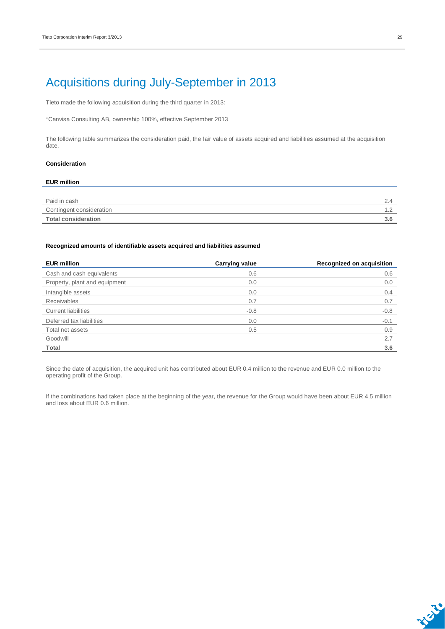### Acquisitions during July-September in 2013

Tieto made the following acquisition during the third quarter in 2013:

\*Canvisa Consulting AB, ownership 100%, effective September 2013

The following table summarizes the consideration paid, the fair value of assets acquired and liabilities assumed at the acquisition date.

#### **Consideration**

### **EUR million** Paid in cash 2.4 Contingent consideration that the continuous continuous continuous continuous continuous continuous continuous continuous continuous continuous continuous continuous continuous continuous continuous continuous continuous c

**Total consideration 3.6**

#### **Recognized amounts of identifiable assets acquired and liabilities assumed**

| <b>EUR million</b>            | <b>Carrying value</b> | Recognized on acquisition |
|-------------------------------|-----------------------|---------------------------|
| Cash and cash equivalents     | 0.6                   | 0.6                       |
| Property, plant and equipment | 0.0                   | 0.0                       |
| Intangible assets             | 0.0                   | 0.4                       |
| <b>Receivables</b>            | 0.7                   | 0.7                       |
| <b>Current liabilities</b>    | $-0.8$                | $-0.8$                    |
| Deferred tax liabilities      | 0.0                   | $-0.1$                    |
| Total net assets              | 0.5                   | 0.9                       |
| Goodwill                      |                       | 2.7                       |
| Total                         |                       | 3.6                       |

Since the date of acquisition, the acquired unit has contributed about EUR 0.4 million to the revenue and EUR 0.0 million to the operating profit of the Group.

If the combinations had taken place at the beginning of the year, the revenue for the Group would have been about EUR 4.5 million and loss about EUR 0.6 million.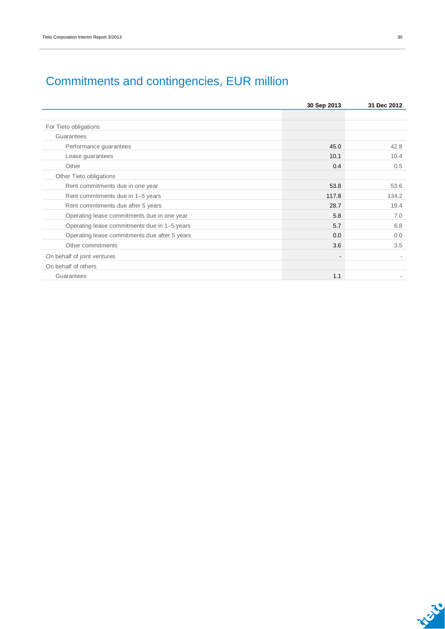|                                               | 30 Sep 2013 | 31 Dec 2012 |
|-----------------------------------------------|-------------|-------------|
|                                               |             |             |
| For Tieto obligations                         |             |             |
| Guarantees                                    |             |             |
| Performance guarantees                        | 45.0        | 42.8        |
| Lease guarantees                              | 10.1        | 10.4        |
| Other                                         | 0.4         | 0.5         |
| Other Tieto obligations                       |             |             |
| Rent commitments due in one year              | 53.8        | 53.6        |
| Rent commitments due in 1-5 years             | 117.8       | 134.2       |
| Rent commitments due after 5 years            | 28.7        | 19.4        |
| Operating lease commitments due in one year   | 5.8         | 7.0         |
| Operating lease commitments due in 1-5 years  | 5.7         | 6.8         |
| Operating lease commitments due after 5 years | 0.0         | 0.0         |
| Other commitments                             | 3.6         | 3.5         |
| On behalf of joint ventures                   |             |             |
| On behalf of others                           |             |             |
| Guarantees                                    | 1.1         |             |

## Commitments and contingencies, EUR million

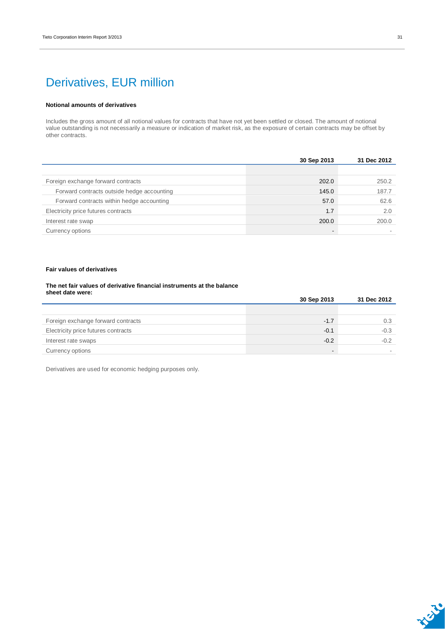### Derivatives, EUR million

#### **Notional amounts of derivatives**

Includes the gross amount of all notional values for contracts that have not yet been settled or closed. The amount of notional value outstanding is not necessarily a measure or indication of market risk, as the exposure of certain contracts may be offset by other contracts.

|                                            | 30 Sep 2013 | 31 Dec 2012 |
|--------------------------------------------|-------------|-------------|
|                                            |             |             |
| Foreign exchange forward contracts         | 202.0       | 250.2       |
| Forward contracts outside hedge accounting | 145.0       | 187.7       |
| Forward contracts within hedge accounting  | 57.0        | 62.6        |
| Electricity price futures contracts        | 1.7         | 2.0         |
| Interest rate swap                         | 200.0       | 200.0       |
| Currency options                           |             |             |

#### **Fair values of derivatives**

#### **The net fair values of derivative financial instruments at the balance sheet date were:**

|                                     | 30 Sep 2013              | 31 Dec 2012 |
|-------------------------------------|--------------------------|-------------|
|                                     |                          |             |
| Foreign exchange forward contracts  | $-1.7$                   | 0.3         |
| Electricity price futures contracts | $-0.1$                   | $-0.3$      |
| Interest rate swaps                 | $-0.2$                   | $-0.2$      |
| Currency options                    | $\overline{\phantom{0}}$ |             |

Derivatives are used for economic hedging purposes only.

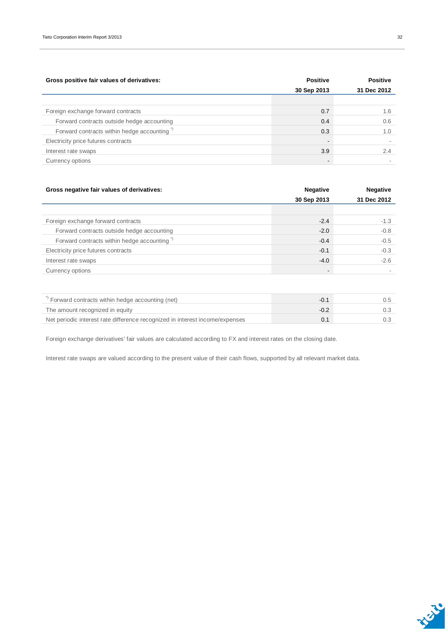| Gross positive fair values of derivatives:             | <b>Positive</b>          | <b>Positive</b> |
|--------------------------------------------------------|--------------------------|-----------------|
|                                                        | 30 Sep 2013              | 31 Dec 2012     |
|                                                        |                          |                 |
| Foreign exchange forward contracts                     | 0.7                      | 1.6             |
| Forward contracts outside hedge accounting             | 0.4                      | 0.6             |
| Forward contracts within hedge accounting <sup>"</sup> | 0.3                      | 1.0             |
| Electricity price futures contracts                    | $\overline{\phantom{a}}$ |                 |
| Interest rate swaps                                    | 3.9                      | 2.4             |
| Currency options                                       | $\overline{\phantom{a}}$ |                 |

| Gross negative fair values of derivatives:             | <b>Negative</b>          | <b>Negative</b> |
|--------------------------------------------------------|--------------------------|-----------------|
|                                                        | 30 Sep 2013              | 31 Dec 2012     |
|                                                        |                          |                 |
| Foreign exchange forward contracts                     | $-2.4$                   | $-1.3$          |
| Forward contracts outside hedge accounting             | $-2.0$                   | $-0.8$          |
| Forward contracts within hedge accounting <sup>*</sup> | $-0.4$                   | $-0.5$          |
| Electricity price futures contracts                    | $-0.1$                   | $-0.3$          |
| Interest rate swaps                                    | $-4.0$                   | $-2.6$          |
| Currency options                                       | $\overline{\phantom{0}}$ |                 |
|                                                        |                          |                 |

| Forward contracts within hedge accounting (net)                              |  |
|------------------------------------------------------------------------------|--|
| The amount recognized in equity                                              |  |
| Net periodic interest rate difference recognized in interest income/expenses |  |

Foreign exchange derivatives' fair values are calculated according to FX and interest rates on the closing date.

Interest rate swaps are valued according to the present value of their cash flows, supported by all relevant market data.

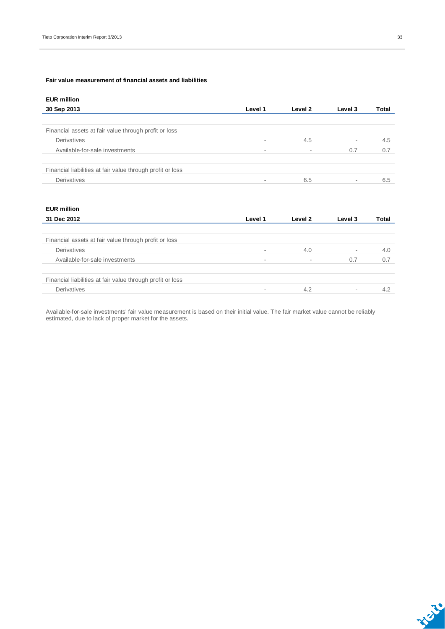#### **Fair value measurement of financial assets and liabilities**

| Level 1 | Level 2 | Level 3 | Total |
|---------|---------|---------|-------|
|         |         |         |       |
|         |         |         |       |
| $\sim$  | 4.5     | ٠       | 4.5   |
| $\sim$  |         | 0.7     | 0.7   |
|         |         |         |       |
| $\sim$  | 6.5     | ٠       | 6.5   |
|         |         |         |       |

| <b>EUR million</b>                                         |         |         |         |       |
|------------------------------------------------------------|---------|---------|---------|-------|
| 31 Dec 2012                                                | Level 1 | Level 2 | Level 3 | Total |
|                                                            |         |         |         |       |
| Financial assets at fair value through profit or loss      |         |         |         |       |
| Derivatives                                                | -       | 4.0     | ٠       | 4.0   |
| Available-for-sale investments                             | $\sim$  | ۰       | 0.7     | 0.7   |
| Financial liabilities at fair value through profit or loss |         |         |         |       |
| Derivatives                                                |         | 4.2     | ٠       | 4.2   |

Available-for-sale investments' fair value measurement is based on their initial value. The fair market value cannot be reliably estimated, due to lack of proper market for the assets.

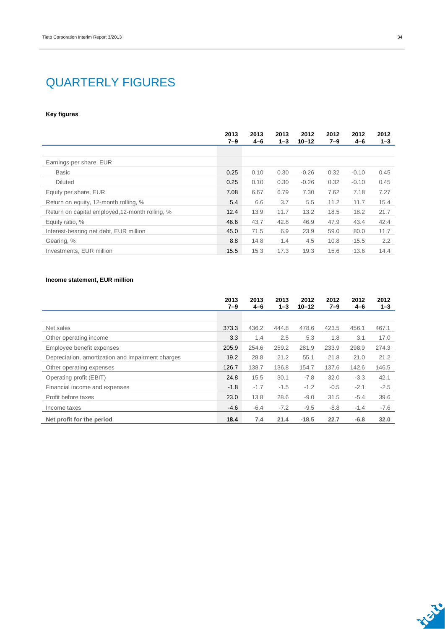### QUARTERLY FIGURES

#### **Key figures**

|                                                 | 2013<br>$7 - 9$ | 2013<br>$4 - 6$ | 2013<br>$1 - 3$ | 2012<br>$10 - 12$ | 2012<br>$7 - 9$ | 2012<br>$4 - 6$ | 2012<br>$1 - 3$ |
|-------------------------------------------------|-----------------|-----------------|-----------------|-------------------|-----------------|-----------------|-----------------|
|                                                 |                 |                 |                 |                   |                 |                 |                 |
| Earnings per share, EUR                         |                 |                 |                 |                   |                 |                 |                 |
| <b>Basic</b>                                    | 0.25            | 0.10            | 0.30            | $-0.26$           | 0.32            | $-0.10$         | 0.45            |
| <b>Diluted</b>                                  | 0.25            | 0.10            | 0.30            | $-0.26$           | 0.32            | $-0.10$         | 0.45            |
| Equity per share, EUR                           | 7.08            | 6.67            | 6.79            | 7.30              | 7.62            | 7.18            | 7.27            |
| Return on equity, 12-month rolling, %           | 5.4             | 6.6             | 3.7             | 5.5               | 11.2            | 11.7            | 15.4            |
| Return on capital employed, 12-month rolling, % | 12.4            | 13.9            | 11.7            | 13.2              | 18.5            | 18.2            | 21.7            |
| Equity ratio, %                                 | 46.6            | 43.7            | 42.8            | 46.9              | 47.9            | 43.4            | 42.4            |
| Interest-bearing net debt, EUR million          | 45.0            | 71.5            | 6.9             | 23.9              | 59.0            | 80.0            | 11.7            |
| Gearing, %                                      | 8.8             | 14.8            | 1.4             | 4.5               | 10.8            | 15.5            | 2.2             |
| Investments, EUR million                        | 15.5            | 15.3            | 17.3            | 19.3              | 15.6            | 13.6            | 14.4            |

#### **Income statement, EUR million**

|                                                   | 2013<br>$7 - 9$ | 2013<br>$4 - 6$ | 2013<br>$1 - 3$ | 2012<br>$10 - 12$ | 2012<br>$7 - 9$ | 2012<br>$4 - 6$ | 2012<br>$1 - 3$ |
|---------------------------------------------------|-----------------|-----------------|-----------------|-------------------|-----------------|-----------------|-----------------|
|                                                   |                 |                 |                 |                   |                 |                 |                 |
| Net sales                                         | 373.3           | 436.2           | 444.8           | 478.6             | 423.5           | 456.1           | 467.1           |
| Other operating income                            | 3.3             | 1.4             | 2.5             | 5.3               | 1.8             | 3.1             | 17.0            |
| Employee benefit expenses                         | 205.9           | 254.6           | 259.2           | 281.9             | 233.9           | 298.9           | 274.3           |
| Depreciation, amortization and impairment charges | 19.2            | 28.8            | 21.2            | 55.1              | 21.8            | 21.0            | 21.2            |
| Other operating expenses                          | 126.7           | 138.7           | 136.8           | 154.7             | 137.6           | 142.6           | 146.5           |
| Operating profit (EBIT)                           | 24.8            | 15.5            | 30.1            | $-7.8$            | 32.0            | $-3.3$          | 42.1            |
| Financial income and expenses                     | $-1.8$          | $-1.7$          | $-1.5$          | $-1.2$            | $-0.5$          | $-2.1$          | $-2.5$          |
| Profit before taxes                               | 23.0            | 13.8            | 28.6            | $-9.0$            | 31.5            | $-5.4$          | 39.6            |
| Income taxes                                      | $-4.6$          | $-6.4$          | $-7.2$          | $-9.5$            | $-8.8$          | $-1.4$          | $-7.6$          |
| Net profit for the period                         | 18.4            | 7.4             | 21.4            | $-18.5$           | 22.7            | $-6.8$          | 32.0            |

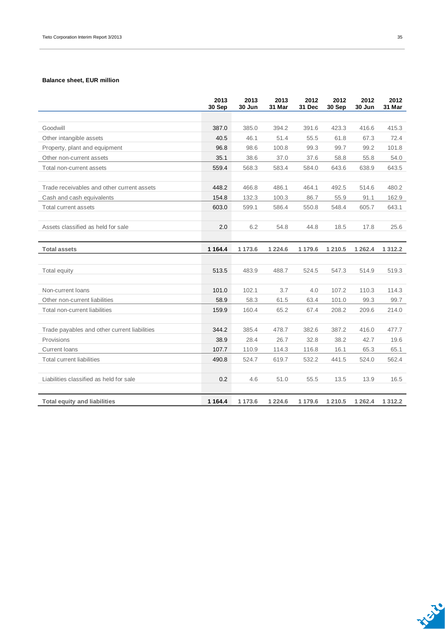#### **Balance sheet, EUR million**

|                                              | 2013<br>30 Sep | 2013<br>30 Jun | 2013<br>31 Mar | 2012<br>31 Dec | 2012<br>30 Sep | 2012<br>30 Jun | 2012<br>31 Mar |
|----------------------------------------------|----------------|----------------|----------------|----------------|----------------|----------------|----------------|
|                                              |                |                |                |                |                |                |                |
| Goodwill                                     | 387.0          | 385.0          | 394.2          | 391.6          | 423.3          | 416.6          | 415.3          |
| Other intangible assets                      | 40.5           | 46.1           | 51.4           | 55.5           | 61.8           | 67.3           | 72.4           |
| Property, plant and equipment                | 96.8           | 98.6           | 100.8          | 99.3           | 99.7           | 99.2           | 101.8          |
| Other non-current assets                     | 35.1           | 38.6           | 37.0           | 37.6           | 58.8           | 55.8           | 54.0           |
| Total non-current assets                     | 559.4          | 568.3          | 583.4          | 584.0          | 643.6          | 638.9          | 643.5          |
| Trade receivables and other current assets   | 448.2          | 466.8          | 486.1          | 464.1          | 492.5          | 514.6          | 480.2          |
| Cash and cash equivalents                    | 154.8          | 132.3          | 100.3          | 86.7           | 55.9           | 91.1           | 162.9          |
| Total current assets                         | 603.0          | 599.1          | 586.4          | 550.8          | 548.4          | 605.7          | 643.1          |
|                                              |                |                |                |                |                |                |                |
| Assets classified as held for sale           | 2.0            | 6.2            | 54.8           | 44.8           | 18.5           | 17.8           | 25.6           |
|                                              |                |                |                |                |                |                |                |
| <b>Total assets</b>                          | 1 1 64.4       | 1 1 7 3 . 6    | 1 2 2 4 . 6    | 1 179.6        | 1 2 1 0.5      | 1 2 6 2 . 4    | 1 3 1 2 . 2    |
|                                              |                |                |                |                |                |                |                |
| Total equity                                 | 513.5          | 483.9          | 488.7          | 524.5          | 547.3          | 514.9          | 519.3          |
|                                              |                |                |                |                |                |                |                |
| Non-current loans                            | 101.0          | 102.1          | 3.7            | 4.0            | 107.2          | 110.3          | 114.3          |
| Other non-current liabilities                | 58.9           | 58.3           | 61.5           | 63.4           | 101.0          | 99.3           | 99.7           |
| Total non-current liabilities                | 159.9          | 160.4          | 65.2           | 67.4           | 208.2          | 209.6          | 214.0          |
| Trade payables and other current liabilities | 344.2          | 385.4          | 478.7          | 382.6          | 387.2          | 416.0          | 477.7          |
| Provisions                                   | 38.9           | 28.4           | 26.7           | 32.8           | 38.2           | 42.7           | 19.6           |
| <b>Current loans</b>                         | 107.7          | 110.9          | 114.3          | 116.8          | 16.1           | 65.3           | 65.1           |
| <b>Total current liabilities</b>             | 490.8          | 524.7          | 619.7          | 532.2          | 441.5          | 524.0          | 562.4          |
|                                              |                |                |                |                |                |                |                |
| Liabilities classified as held for sale      | 0.2            | 4.6            | 51.0           | 55.5           | 13.5           | 13.9           | 16.5           |
|                                              |                |                |                |                |                |                |                |
| <b>Total equity and liabilities</b>          | 1 1 64.4       | 1 173.6        | 1 2 2 4 . 6    | 1 179.6        | 1 2 1 0.5      | 1 2 6 2 . 4    | 1 3 1 2 . 2    |

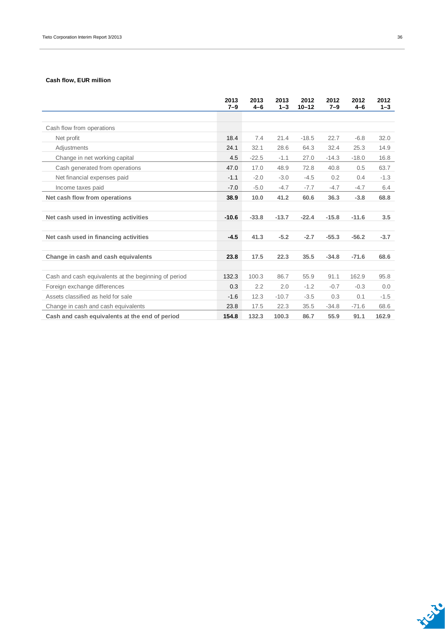#### **Cash flow, EUR million**

|                                                      | 2013<br>$7 - 9$ | 2013<br>$4-6$ | 2013<br>$1 - 3$ | 2012<br>$10 - 12$ | 2012<br>$7 - 9$ | 2012<br>$4 - 6$ | 2012<br>$1 - 3$ |
|------------------------------------------------------|-----------------|---------------|-----------------|-------------------|-----------------|-----------------|-----------------|
|                                                      |                 |               |                 |                   |                 |                 |                 |
| Cash flow from operations                            |                 |               |                 |                   |                 |                 |                 |
| Net profit                                           | 18.4            | 7.4           | 21.4            | $-18.5$           | 22.7            | $-6.8$          | 32.0            |
| Adjustments                                          | 24.1            | 32.1          | 28.6            | 64.3              | 32.4            | 25.3            | 14.9            |
| Change in net working capital                        | 4.5             | $-22.5$       | $-1.1$          | 27.0              | $-14.3$         | $-18.0$         | 16.8            |
| Cash generated from operations                       | 47.0            | 17.0          | 48.9            | 72.8              | 40.8            | 0.5             | 63.7            |
| Net financial expenses paid                          | $-1.1$          | $-2.0$        | $-3.0$          | $-4.5$            | 0.2             | 0.4             | $-1.3$          |
| Income taxes paid                                    | $-7.0$          | $-5.0$        | $-4.7$          | $-7.7$            | $-4.7$          | $-4.7$          | 6.4             |
| Net cash flow from operations                        | 38.9            | 10.0          | 41.2            | 60.6              | 36.3            | $-3.8$          | 68.8            |
|                                                      |                 |               |                 |                   |                 |                 |                 |
| Net cash used in investing activities                | $-10.6$         | $-33.8$       | $-13.7$         | $-22.4$           | $-15.8$         | $-11.6$         | 3.5             |
|                                                      |                 |               |                 |                   |                 |                 |                 |
| Net cash used in financing activities                | $-4.5$          | 41.3          | $-5.2$          | $-2.7$            | $-55.3$         | $-56.2$         | $-3.7$          |
|                                                      |                 |               |                 |                   |                 |                 |                 |
| Change in cash and cash equivalents                  | 23.8            | 17.5          | 22.3            | 35.5              | $-34.8$         | $-71.6$         | 68.6            |
|                                                      |                 |               |                 |                   |                 |                 |                 |
| Cash and cash equivalents at the beginning of period | 132.3           | 100.3         | 86.7            | 55.9              | 91.1            | 162.9           | 95.8            |
| Foreign exchange differences                         | 0.3             | 2.2           | 2.0             | $-1.2$            | $-0.7$          | $-0.3$          | 0.0             |
| Assets classified as held for sale                   | $-1.6$          | 12.3          | $-10.7$         | $-3.5$            | 0.3             | 0.1             | $-1.5$          |
| Change in cash and cash equivalents                  | 23.8            | 17.5          | 22.3            | 35.5              | $-34.8$         | $-71.6$         | 68.6            |
| Cash and cash equivalents at the end of period       | 154.8           | 132.3         | 100.3           | 86.7              | 55.9            | 91.1            | 162.9           |

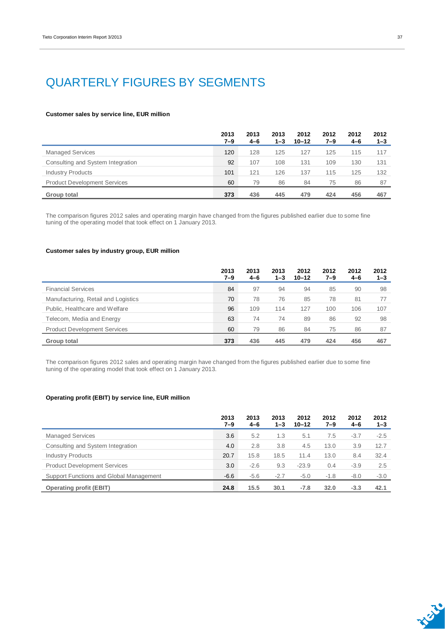### QUARTERLY FIGURES BY SEGMENTS

#### **Customer sales by service line, EUR million**

|                                     | 2013<br>7–9 | 2013<br>$4 - 6$ | 2013<br>$1 - 3$ | 2012<br>$10 - 12$ | 2012<br>7–9 | 2012<br>4-6 | 2012<br>$1 - 3$ |
|-------------------------------------|-------------|-----------------|-----------------|-------------------|-------------|-------------|-----------------|
| <b>Managed Services</b>             | 120         | 128             | 125             | 127               | 125         | 115         | 117             |
| Consulting and System Integration   | 92          | 107             | 108             | 131               | 109         | 130         | 131             |
| <b>Industry Products</b>            | 101         | 121             | 126             | 137               | 115         | 125         | 132             |
| <b>Product Development Services</b> | 60          | 79              | 86              | 84                | 75          | 86          | 87              |
| Group total                         | 373         | 436             | 445             | 479               | 424         | 456         | 467             |

The comparison figures 2012 sales and operating margin have changed from the figures published earlier due to some fine tuning of the operating model that took effect on 1 January 2013.

#### **Customer sales by industry group, EUR million**

|                                     | 2013<br>7–9 | 2013<br>4-6 | 2013<br>$1 - 3$ | 2012<br>$10 - 12$ | 2012<br>7–9 | 2012<br>$4-6$ | 2012<br>$1 - 3$ |
|-------------------------------------|-------------|-------------|-----------------|-------------------|-------------|---------------|-----------------|
| <b>Financial Services</b>           | 84          | 97          | 94              | 94                | 85          | 90            | 98              |
| Manufacturing, Retail and Logistics | 70          | 78          | 76              | 85                | 78          | 81            | 77              |
| Public, Healthcare and Welfare      | 96          | 109         | 114             | 127               | 100         | 106           | 107             |
| Telecom, Media and Energy           | 63          | 74          | 74              | 89                | 86          | 92            | 98              |
| <b>Product Development Services</b> | 60          | 79          | 86              | 84                | 75          | 86            | 87              |
| Group total                         | 373         | 436         | 445             | 479               | 424         | 456           | 467             |

The comparison figures 2012 sales and operating margin have changed from the figures published earlier due to some fine tuning of the operating model that took effect on 1 January 2013.

#### **Operating profit (EBIT) by service line, EUR million**

|                                         | 2013<br>7–9 | 2013<br>$4 - 6$ | 2013<br>$1 - 3$ | 2012<br>$10 - 12$ | 2012<br>$7 - 9$ | 2012<br>$4 - 6$ | 2012<br>$1 - 3$ |
|-----------------------------------------|-------------|-----------------|-----------------|-------------------|-----------------|-----------------|-----------------|
| <b>Managed Services</b>                 | 3.6         | 5.2             | 1.3             | 5.1               | 7.5             | $-3.7$          | $-2.5$          |
| Consulting and System Integration       | 4.0         | 2.8             | 3.8             | 4.5               | 13.0            | 3.9             | 12.7            |
| <b>Industry Products</b>                | 20.7        | 15.8            | 18.5            | 11.4              | 13.0            | 8.4             | 32.4            |
| <b>Product Development Services</b>     | 3.0         | $-2.6$          | 9.3             | $-23.9$           | 0.4             | $-3.9$          | 2.5             |
| Support Functions and Global Management | $-6.6$      | $-5.6$          | $-2.7$          | $-5.0$            | $-1.8$          | $-8.0$          | $-3.0$          |
| <b>Operating profit (EBIT)</b>          | 24.8        | 15.5            | 30.1            | $-7.8$            | 32.0            | $-3.3$          | 42.1            |

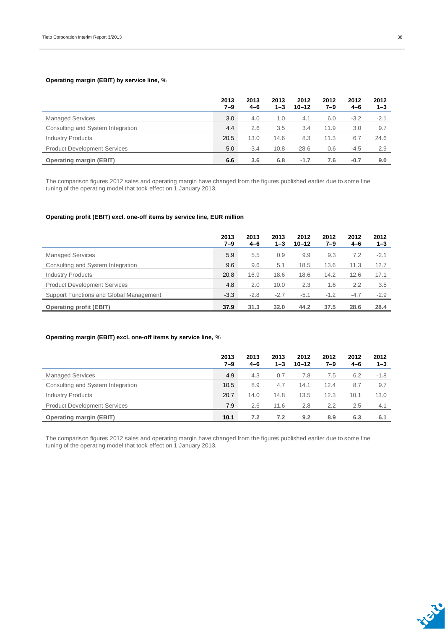#### **Operating margin (EBIT) by service line, %**

|                                     | 2013<br>7–9 | 2013<br>$4 - 6$ | 2013<br>$1 - 3$ | 2012<br>$10 - 12$ | 2012<br>7–9 | 2012<br>4-6 | 2012<br>$1 - 3$ |
|-------------------------------------|-------------|-----------------|-----------------|-------------------|-------------|-------------|-----------------|
| <b>Managed Services</b>             | 3.0         | 4.0             | 1.0             | 4.1               | 6.0         | $-3.2$      | $-2.1$          |
| Consulting and System Integration   | 4.4         | 2.6             | 3.5             | 3.4               | 11.9        | 3.0         | 9.7             |
| <b>Industry Products</b>            | 20.5        | 13.0            | 14.6            | 8.3               | 11.3        | 6.7         | 24.6            |
| <b>Product Development Services</b> | 5.0         | $-3.4$          | 10.8            | $-28.6$           | 0.6         | $-4.5$      | 2.9             |
| <b>Operating margin (EBIT)</b>      | 6.6         | 3.6             | 6.8             | $-1.7$            | 7.6         | $-0.7$      | 9.0             |

The comparison figures 2012 sales and operating margin have changed from the figures published earlier due to some fine tuning of the operating model that took effect on 1 January 2013.

#### **Operating profit (EBIT) excl. one-off items by service line, EUR million**

|                                         | 2013<br>7–9 | 2013<br>$4 - 6$ | 2013<br>$1 - 3$ | 2012<br>$10 - 12$ | 2012<br>7–9 | 2012<br>4-6 | 2012<br>$1 - 3$ |
|-----------------------------------------|-------------|-----------------|-----------------|-------------------|-------------|-------------|-----------------|
| <b>Managed Services</b>                 | 5.9         | 5.5             | 0.9             | 9.9               | 9.3         | 7.2         | $-2.1$          |
| Consulting and System Integration       | 9.6         | 9.6             | 5.1             | 18.5              | 13.6        | 11.3        | 12.7            |
| <b>Industry Products</b>                | 20.8        | 16.9            | 18.6            | 18.6              | 14.2        | 12.6        | 17.1            |
| <b>Product Development Services</b>     | 4.8         | 2.0             | 10.0            | 2.3               | 1.6         | 2.2         | 3.5             |
| Support Functions and Global Management | $-3.3$      | $-2.8$          | $-2.7$          | $-5.1$            | $-1.2$      | $-4.7$      | $-2.9$          |
| <b>Operating profit (EBIT)</b>          | 37.9        | 31.3            | 32.0            | 44.2              | 37.5        | 28.6        | 28.4            |

#### **Operating margin (EBIT) excl. one-off items by service line, %**

|                                     | 2013<br>7–9 | 2013<br>$4 - 6$ | 2013<br>$1 - 3$ | 2012<br>$10 - 12$ | 2012<br>7–9 | 2012<br>$4 - 6$ | 2012<br>$1 - 3$ |
|-------------------------------------|-------------|-----------------|-----------------|-------------------|-------------|-----------------|-----------------|
| <b>Managed Services</b>             | 4.9         | 4.3             | 0.7             | 7.8               | 7.5         | 6.2             | $-1.8$          |
| Consulting and System Integration   | 10.5        | 8.9             | 4.7             | 14.1              | 12.4        | 8.7             | 9.7             |
| <b>Industry Products</b>            | 20.7        | 14.0            | 14.8            | 13.5              | 12.3        | 10.1            | 13.0            |
| <b>Product Development Services</b> | 7.9         | 2.6             | 11.6            | 2.8               | 2.2         | 2.5             | 4.1             |
| <b>Operating margin (EBIT)</b>      | 10.1        | 7.2             | 7.2             | 9.2               | 8.9         | 6.3             | 6.1             |

The comparison figures 2012 sales and operating margin have changed from the figures published earlier due to some fine tuning of the operating model that took effect on 1 January 2013.

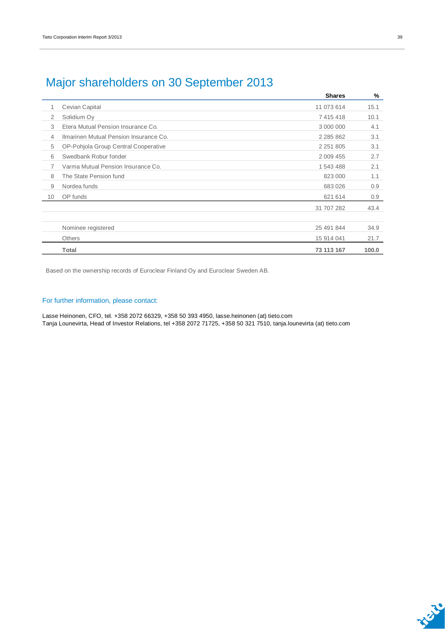|                |                                        | <b>Shares</b> | %     |
|----------------|----------------------------------------|---------------|-------|
| 1              | Cevian Capital                         | 11 073 614    | 15.1  |
| 2              | Solidium Oy                            | 7 415 418     | 10.1  |
| 3              | Etera Mutual Pension Insurance Co.     | 3 000 000     | 4.1   |
| $\overline{4}$ | Ilmarinen Mutual Pension Insurance Co. | 2 2 8 5 8 6 2 | 3.1   |
| 5              | OP-Pohjola Group Central Cooperative   | 2 2 5 1 8 0 5 | 3.1   |
| 6              | Swedbank Robur fonder                  | 2 009 455     | 2.7   |
| $\overline{7}$ | Varma Mutual Pension Insurance Co.     | 1 543 488     | 2.1   |
| 8              | The State Pension fund                 | 823 000       | 1.1   |
| 9              | Nordea funds                           | 683 026       | 0.9   |
| 10             | OP funds                               | 621 614       | 0.9   |
|                |                                        | 31 707 282    | 43.4  |
|                |                                        |               |       |
|                | Nominee registered                     | 25 491 844    | 34.9  |
|                | <b>Others</b>                          | 15 914 041    | 21.7  |
|                | <b>Total</b>                           | 73 113 167    | 100.0 |

### Major shareholders on 30 September 2013

Based on the ownership records of Euroclear Finland Oy and Euroclear Sweden AB.

#### For further information, please contact:

Lasse Heinonen, CFO, tel. +358 2072 66329, +358 50 393 4950, lasse.heinonen (at) tieto.com Tanja Lounevirta, Head of Investor Relations, tel +358 2072 71725, +358 50 321 7510, tanja.lounevirta (at) tieto.com